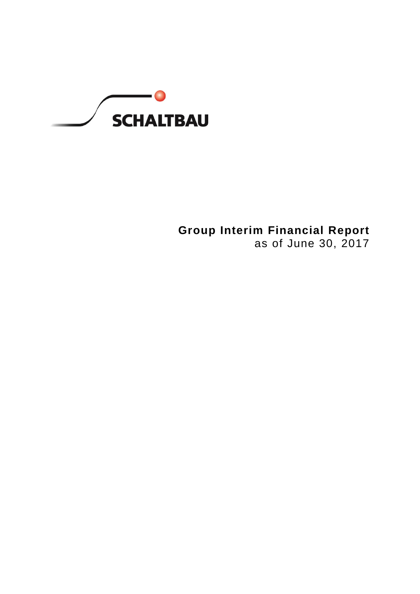

**Group Interim Financial Report** as of June 30, 2017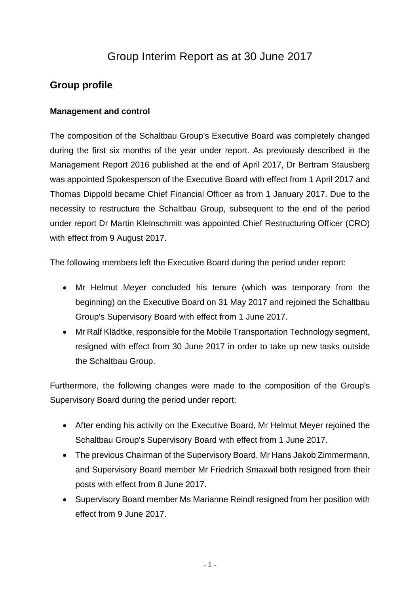# Group Interim Report as at 30 June 2017

# **Group profile**

# **Management and control**

The composition of the Schaltbau Group's Executive Board was completely changed during the first six months of the year under report. As previously described in the Management Report 2016 published at the end of April 2017, Dr Bertram Stausberg was appointed Spokesperson of the Executive Board with effect from 1 April 2017 and Thomas Dippold became Chief Financial Officer as from 1 January 2017. Due to the necessity to restructure the Schaltbau Group, subsequent to the end of the period under report Dr Martin Kleinschmitt was appointed Chief Restructuring Officer (CRO) with effect from 9 August 2017.

The following members left the Executive Board during the period under report:

- Mr Helmut Meyer concluded his tenure (which was temporary from the beginning) on the Executive Board on 31 May 2017 and rejoined the Schaltbau Group's Supervisory Board with effect from 1 June 2017.
- Mr Ralf Klädtke, responsible for the Mobile Transportation Technology segment, resigned with effect from 30 June 2017 in order to take up new tasks outside the Schaltbau Group.

Furthermore, the following changes were made to the composition of the Group's Supervisory Board during the period under report:

- After ending his activity on the Executive Board, Mr Helmut Meyer rejoined the Schaltbau Group's Supervisory Board with effect from 1 June 2017.
- The previous Chairman of the Supervisory Board, Mr Hans Jakob Zimmermann, and Supervisory Board member Mr Friedrich Smaxwil both resigned from their posts with effect from 8 June 2017.
- Supervisory Board member Ms Marianne Reindl resigned from her position with effect from 9 June 2017.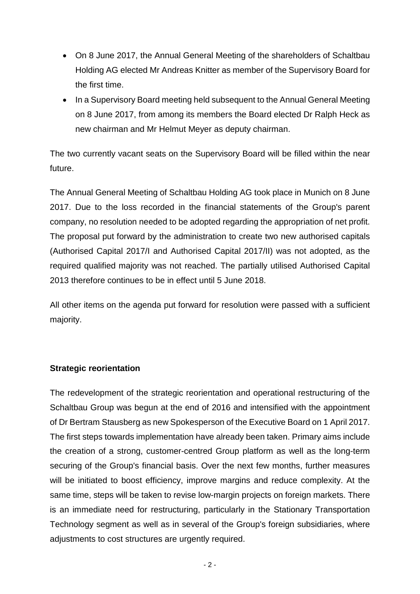- On 8 June 2017, the Annual General Meeting of the shareholders of Schaltbau Holding AG elected Mr Andreas Knitter as member of the Supervisory Board for the first time.
- In a Supervisory Board meeting held subsequent to the Annual General Meeting on 8 June 2017, from among its members the Board elected Dr Ralph Heck as new chairman and Mr Helmut Meyer as deputy chairman.

The two currently vacant seats on the Supervisory Board will be filled within the near future.

The Annual General Meeting of Schaltbau Holding AG took place in Munich on 8 June 2017. Due to the loss recorded in the financial statements of the Group's parent company, no resolution needed to be adopted regarding the appropriation of net profit. The proposal put forward by the administration to create two new authorised capitals (Authorised Capital 2017/I and Authorised Capital 2017/II) was not adopted, as the required qualified majority was not reached. The partially utilised Authorised Capital 2013 therefore continues to be in effect until 5 June 2018.

All other items on the agenda put forward for resolution were passed with a sufficient majority.

## **Strategic reorientation**

The redevelopment of the strategic reorientation and operational restructuring of the Schaltbau Group was begun at the end of 2016 and intensified with the appointment of Dr Bertram Stausberg as new Spokesperson of the Executive Board on 1 April 2017. The first steps towards implementation have already been taken. Primary aims include the creation of a strong, customer-centred Group platform as well as the long-term securing of the Group's financial basis. Over the next few months, further measures will be initiated to boost efficiency, improve margins and reduce complexity. At the same time, steps will be taken to revise low-margin projects on foreign markets. There is an immediate need for restructuring, particularly in the Stationary Transportation Technology segment as well as in several of the Group's foreign subsidiaries, where adjustments to cost structures are urgently required.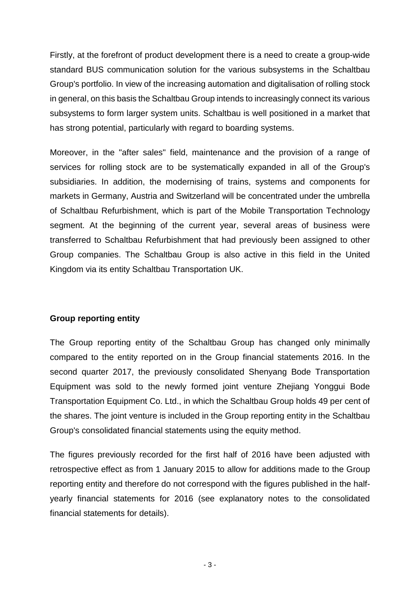Firstly, at the forefront of product development there is a need to create a group-wide standard BUS communication solution for the various subsystems in the Schaltbau Group's portfolio. In view of the increasing automation and digitalisation of rolling stock in general, on this basis the Schaltbau Group intends to increasingly connect its various subsystems to form larger system units. Schaltbau is well positioned in a market that has strong potential, particularly with regard to boarding systems.

Moreover, in the "after sales" field, maintenance and the provision of a range of services for rolling stock are to be systematically expanded in all of the Group's subsidiaries. In addition, the modernising of trains, systems and components for markets in Germany, Austria and Switzerland will be concentrated under the umbrella of Schaltbau Refurbishment, which is part of the Mobile Transportation Technology segment. At the beginning of the current year, several areas of business were transferred to Schaltbau Refurbishment that had previously been assigned to other Group companies. The Schaltbau Group is also active in this field in the United Kingdom via its entity Schaltbau Transportation UK.

## **Group reporting entity**

The Group reporting entity of the Schaltbau Group has changed only minimally compared to the entity reported on in the Group financial statements 2016. In the second quarter 2017, the previously consolidated Shenyang Bode Transportation Equipment was sold to the newly formed joint venture Zhejiang Yonggui Bode Transportation Equipment Co. Ltd., in which the Schaltbau Group holds 49 per cent of the shares. The joint venture is included in the Group reporting entity in the Schaltbau Group's consolidated financial statements using the equity method.

The figures previously recorded for the first half of 2016 have been adjusted with retrospective effect as from 1 January 2015 to allow for additions made to the Group reporting entity and therefore do not correspond with the figures published in the halfyearly financial statements for 2016 (see explanatory notes to the consolidated financial statements for details).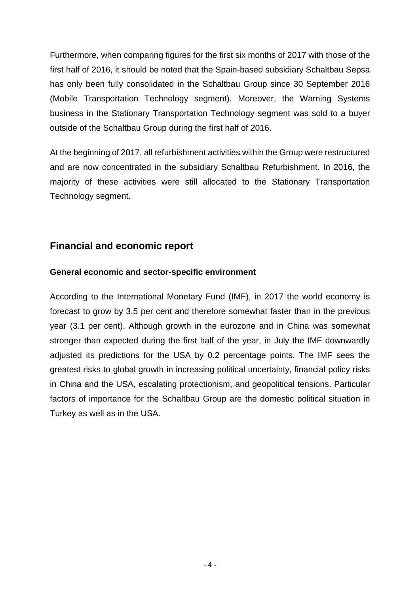Furthermore, when comparing figures for the first six months of 2017 with those of the first half of 2016, it should be noted that the Spain-based subsidiary Schaltbau Sepsa has only been fully consolidated in the Schaltbau Group since 30 September 2016 (Mobile Transportation Technology segment). Moreover, the Warning Systems business in the Stationary Transportation Technology segment was sold to a buyer outside of the Schaltbau Group during the first half of 2016.

At the beginning of 2017, all refurbishment activities within the Group were restructured and are now concentrated in the subsidiary Schaltbau Refurbishment. In 2016, the majority of these activities were still allocated to the Stationary Transportation Technology segment.

# **Financial and economic report**

# **General economic and sector-specific environment**

According to the International Monetary Fund (IMF), in 2017 the world economy is forecast to grow by 3.5 per cent and therefore somewhat faster than in the previous year (3.1 per cent). Although growth in the eurozone and in China was somewhat stronger than expected during the first half of the year, in July the IMF downwardly adjusted its predictions for the USA by 0.2 percentage points. The IMF sees the greatest risks to global growth in increasing political uncertainty, financial policy risks in China and the USA, escalating protectionism, and geopolitical tensions. Particular factors of importance for the Schaltbau Group are the domestic political situation in Turkey as well as in the USA.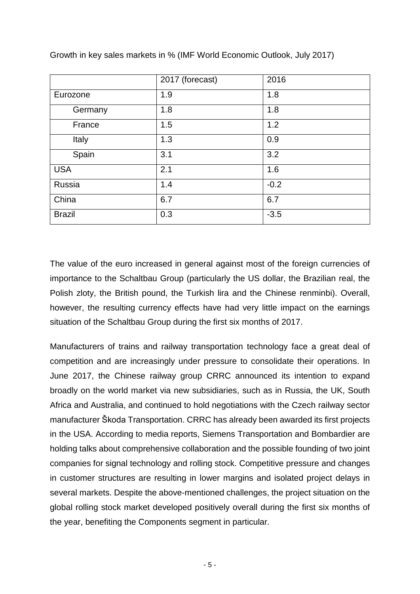|               | 2017 (forecast) | 2016   |
|---------------|-----------------|--------|
| Eurozone      | 1.9             | 1.8    |
| Germany       | 1.8             | 1.8    |
| France        | 1.5             | 1.2    |
| Italy         | 1.3             | 0.9    |
| Spain         | 3.1             | 3.2    |
| <b>USA</b>    | 2.1             | 1.6    |
| Russia        | 1.4             | $-0.2$ |
| China         | 6.7             | 6.7    |
| <b>Brazil</b> | 0.3             | $-3.5$ |

Growth in key sales markets in % (IMF World Economic Outlook, July 2017)

The value of the euro increased in general against most of the foreign currencies of importance to the Schaltbau Group (particularly the US dollar, the Brazilian real, the Polish zloty, the British pound, the Turkish lira and the Chinese renminbi). Overall, however, the resulting currency effects have had very little impact on the earnings situation of the Schaltbau Group during the first six months of 2017.

Manufacturers of trains and railway transportation technology face a great deal of competition and are increasingly under pressure to consolidate their operations. In June 2017, the Chinese railway group CRRC announced its intention to expand broadly on the world market via new subsidiaries, such as in Russia, the UK, South Africa and Australia, and continued to hold negotiations with the Czech railway sector manufacturer Škoda Transportation. CRRC has already been awarded its first projects in the USA. According to media reports, Siemens Transportation and Bombardier are holding talks about comprehensive collaboration and the possible founding of two joint companies for signal technology and rolling stock. Competitive pressure and changes in customer structures are resulting in lower margins and isolated project delays in several markets. Despite the above-mentioned challenges, the project situation on the global rolling stock market developed positively overall during the first six months of the year, benefiting the Components segment in particular.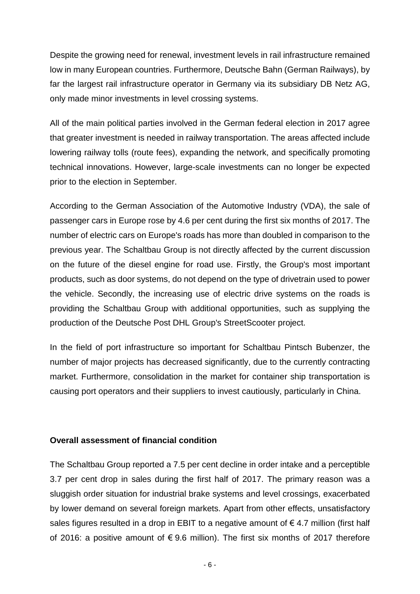Despite the growing need for renewal, investment levels in rail infrastructure remained low in many European countries. Furthermore, Deutsche Bahn (German Railways), by far the largest rail infrastructure operator in Germany via its subsidiary DB Netz AG, only made minor investments in level crossing systems.

All of the main political parties involved in the German federal election in 2017 agree that greater investment is needed in railway transportation. The areas affected include lowering railway tolls (route fees), expanding the network, and specifically promoting technical innovations. However, large-scale investments can no longer be expected prior to the election in September.

According to the German Association of the Automotive Industry (VDA), the sale of passenger cars in Europe rose by 4.6 per cent during the first six months of 2017. The number of electric cars on Europe's roads has more than doubled in comparison to the previous year. The Schaltbau Group is not directly affected by the current discussion on the future of the diesel engine for road use. Firstly, the Group's most important products, such as door systems, do not depend on the type of drivetrain used to power the vehicle. Secondly, the increasing use of electric drive systems on the roads is providing the Schaltbau Group with additional opportunities, such as supplying the production of the Deutsche Post DHL Group's StreetScooter project.

In the field of port infrastructure so important for Schaltbau Pintsch Bubenzer, the number of major projects has decreased significantly, due to the currently contracting market. Furthermore, consolidation in the market for container ship transportation is causing port operators and their suppliers to invest cautiously, particularly in China.

## **Overall assessment of financial condition**

The Schaltbau Group reported a 7.5 per cent decline in order intake and a perceptible 3.7 per cent drop in sales during the first half of 2017. The primary reason was a sluggish order situation for industrial brake systems and level crossings, exacerbated by lower demand on several foreign markets. Apart from other effects, unsatisfactory sales figures resulted in a drop in EBIT to a negative amount of  $\epsilon$  4.7 million (first half of 2016: a positive amount of  $\epsilon$  9.6 million). The first six months of 2017 therefore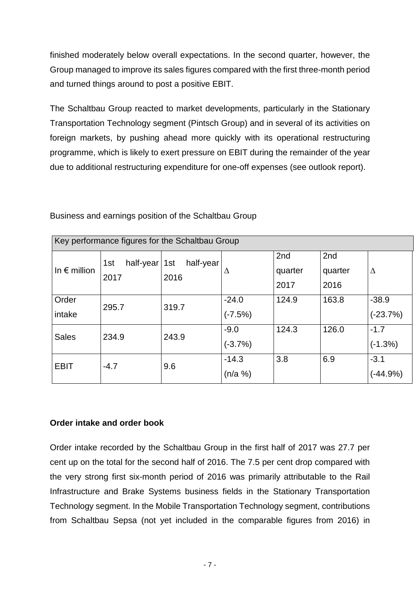finished moderately below overall expectations. In the second quarter, however, the Group managed to improve its sales figures compared with the first three-month period and turned things around to post a positive EBIT.

The Schaltbau Group reacted to market developments, particularly in the Stationary Transportation Technology segment (Pintsch Group) and in several of its activities on foreign markets, by pushing ahead more quickly with its operational restructuring programme, which is likely to exert pressure on EBIT during the remainder of the year due to additional restructuring expenditure for one-off expenses (see outlook report).

| Key performance figures for the Schaltbau Group |                                      |                   |                       |                        |                        |                       |
|-------------------------------------------------|--------------------------------------|-------------------|-----------------------|------------------------|------------------------|-----------------------|
| In $\epsilon$ million                           | half-year $\vert$ 1st<br>1st<br>2017 | half-year<br>2016 | Δ                     | 2nd<br>quarter<br>2017 | 2nd<br>quarter<br>2016 | Δ                     |
| Order<br>intake                                 | 295.7                                | 319.7             | $-24.0$<br>$(-7.5%)$  | 124.9                  | 163.8                  | $-38.9$<br>$(-23.7%)$ |
| <b>Sales</b>                                    | 234.9                                | 243.9             | $-9.0$<br>$(-3.7%)$   | 124.3                  | 126.0                  | $-1.7$<br>$(-1.3%)$   |
| <b>EBIT</b>                                     | $-4.7$                               | 9.6               | $-14.3$<br>$(n/a \%)$ | 3.8                    | 6.9                    | $-3.1$<br>(-44.9%)    |

Business and earnings position of the Schaltbau Group

## **Order intake and order book**

Order intake recorded by the Schaltbau Group in the first half of 2017 was 27.7 per cent up on the total for the second half of 2016. The 7.5 per cent drop compared with the very strong first six-month period of 2016 was primarily attributable to the Rail Infrastructure and Brake Systems business fields in the Stationary Transportation Technology segment. In the Mobile Transportation Technology segment, contributions from Schaltbau Sepsa (not yet included in the comparable figures from 2016) in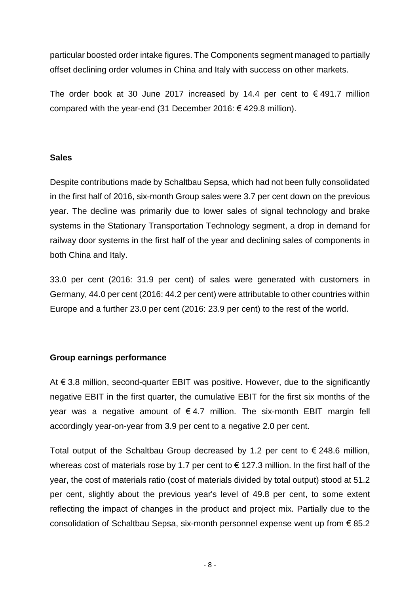particular boosted order intake figures. The Components segment managed to partially offset declining order volumes in China and Italy with success on other markets.

The order book at 30 June 2017 increased by 14.4 per cent to  $\epsilon$  491.7 million compared with the year-end (31 December 2016:  $\epsilon$  429.8 million).

## **Sales**

Despite contributions made by Schaltbau Sepsa, which had not been fully consolidated in the first half of 2016, six-month Group sales were 3.7 per cent down on the previous year. The decline was primarily due to lower sales of signal technology and brake systems in the Stationary Transportation Technology segment, a drop in demand for railway door systems in the first half of the year and declining sales of components in both China and Italy.

33.0 per cent (2016: 31.9 per cent) of sales were generated with customers in Germany, 44.0 per cent (2016: 44.2 per cent) were attributable to other countries within Europe and a further 23.0 per cent (2016: 23.9 per cent) to the rest of the world.

## **Group earnings performance**

At € 3.8 million, second-quarter EBIT was positive. However, due to the significantly negative EBIT in the first quarter, the cumulative EBIT for the first six months of the year was a negative amount of  $\epsilon$  4.7 million. The six-month EBIT margin fell accordingly year-on-year from 3.9 per cent to a negative 2.0 per cent.

Total output of the Schaltbau Group decreased by 1.2 per cent to  $\epsilon$  248.6 million, whereas cost of materials rose by 1.7 per cent to  $\epsilon$  127.3 million. In the first half of the year, the cost of materials ratio (cost of materials divided by total output) stood at 51.2 per cent, slightly about the previous year's level of 49.8 per cent, to some extent reflecting the impact of changes in the product and project mix. Partially due to the consolidation of Schaltbau Sepsa, six-month personnel expense went up from € 85.2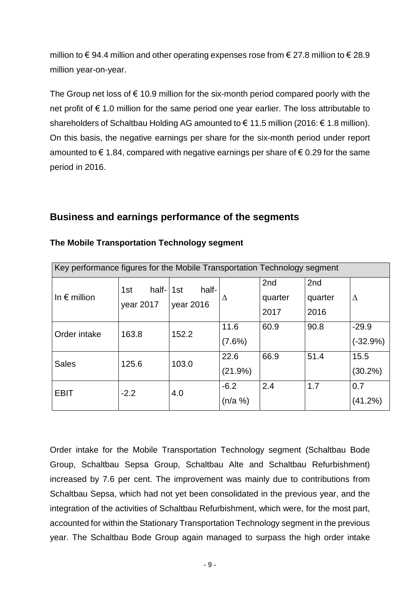million to € 94.4 million and other operating expenses rose from  $\epsilon$  27.8 million to  $\epsilon$  28.9 million year-on-year.

The Group net loss of  $\epsilon$  10.9 million for the six-month period compared poorly with the net profit of € 1.0 million for the same period one year earlier. The loss attributable to shareholders of Schaltbau Holding AG amounted to  $\epsilon$  11.5 million (2016:  $\epsilon$  1.8 million). On this basis, the negative earnings per share for the six-month period under report amounted to  $\epsilon$  1.84, compared with negative earnings per share of  $\epsilon$  0.29 for the same period in 2016.

# **Business and earnings performance of the segments**

| Key performance figures for the Mobile Transportation Technology segment |                           |                           |                   |                        |                        |                       |
|--------------------------------------------------------------------------|---------------------------|---------------------------|-------------------|------------------------|------------------------|-----------------------|
| In $\epsilon$ million                                                    | half-<br>1st<br>year 2017 | half-<br>1st<br>year 2016 | Δ                 | 2nd<br>quarter<br>2017 | 2nd<br>quarter<br>2016 | Δ                     |
| Order intake                                                             | 163.8                     | 152.2                     | 11.6<br>$(7.6\%)$ | 60.9                   | 90.8                   | $-29.9$<br>$(-32.9%)$ |
| <b>Sales</b>                                                             | 125.6                     | 103.0                     | 22.6<br>(21.9%)   | 66.9                   | 51.4                   | 15.5<br>$(30.2\%)$    |
| <b>EBIT</b>                                                              | $-2.2$                    | 4.0                       | $-6.2$<br>(n/a %) | 2.4                    | 1.7                    | 0.7<br>(41.2%)        |

## **The Mobile Transportation Technology segment**

Order intake for the Mobile Transportation Technology segment (Schaltbau Bode Group, Schaltbau Sepsa Group, Schaltbau Alte and Schaltbau Refurbishment) increased by 7.6 per cent. The improvement was mainly due to contributions from Schaltbau Sepsa, which had not yet been consolidated in the previous year, and the integration of the activities of Schaltbau Refurbishment, which were, for the most part, accounted for within the Stationary Transportation Technology segment in the previous year. The Schaltbau Bode Group again managed to surpass the high order intake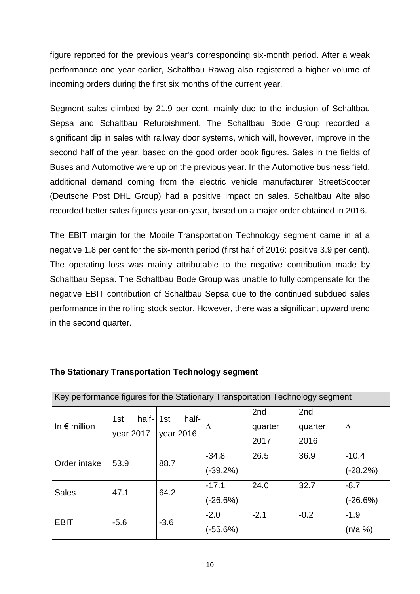figure reported for the previous year's corresponding six-month period. After a weak performance one year earlier, Schaltbau Rawag also registered a higher volume of incoming orders during the first six months of the current year.

Segment sales climbed by 21.9 per cent, mainly due to the inclusion of Schaltbau Sepsa and Schaltbau Refurbishment. The Schaltbau Bode Group recorded a significant dip in sales with railway door systems, which will, however, improve in the second half of the year, based on the good order book figures. Sales in the fields of Buses and Automotive were up on the previous year. In the Automotive business field, additional demand coming from the electric vehicle manufacturer StreetScooter (Deutsche Post DHL Group) had a positive impact on sales. Schaltbau Alte also recorded better sales figures year-on-year, based on a major order obtained in 2016.

The EBIT margin for the Mobile Transportation Technology segment came in at a negative 1.8 per cent for the six-month period (first half of 2016: positive 3.9 per cent). The operating loss was mainly attributable to the negative contribution made by Schaltbau Sepsa. The Schaltbau Bode Group was unable to fully compensate for the negative EBIT contribution of Schaltbau Sepsa due to the continued subdued sales performance in the rolling stock sector. However, there was a significant upward trend in the second quarter.

| Key performance figures for the Stationary Transportation Technology segment |                              |                    |                       |                        |                        |                       |
|------------------------------------------------------------------------------|------------------------------|--------------------|-----------------------|------------------------|------------------------|-----------------------|
| In $\epsilon$ million                                                        | half-1st<br>1st<br>year 2017 | half-<br>year 2016 | Δ                     | 2nd<br>quarter<br>2017 | 2nd<br>quarter<br>2016 | Δ                     |
| Order intake                                                                 | 53.9                         | 88.7               | $-34.8$<br>$(-39.2%)$ | 26.5                   | 36.9                   | $-10.4$<br>$(-28.2%)$ |
| <b>Sales</b>                                                                 | 47.1                         | 64.2               | $-17.1$<br>$(-26.6%)$ | 24.0                   | 32.7                   | $-8.7$<br>$(-26.6%)$  |
| <b>EBIT</b>                                                                  | $-5.6$                       | $-3.6$             | $-2.0$<br>(-55.6%)    | $-2.1$                 | $-0.2$                 | $-1.9$<br>(n/a %)     |

## **The Stationary Transportation Technology segment**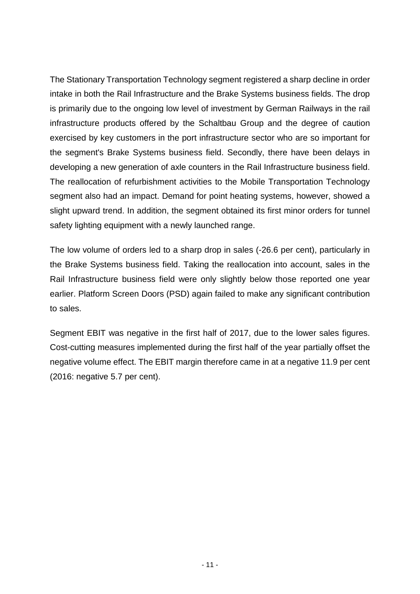The Stationary Transportation Technology segment registered a sharp decline in order intake in both the Rail Infrastructure and the Brake Systems business fields. The drop is primarily due to the ongoing low level of investment by German Railways in the rail infrastructure products offered by the Schaltbau Group and the degree of caution exercised by key customers in the port infrastructure sector who are so important for the segment's Brake Systems business field. Secondly, there have been delays in developing a new generation of axle counters in the Rail Infrastructure business field. The reallocation of refurbishment activities to the Mobile Transportation Technology segment also had an impact. Demand for point heating systems, however, showed a slight upward trend. In addition, the segment obtained its first minor orders for tunnel safety lighting equipment with a newly launched range.

The low volume of orders led to a sharp drop in sales (-26.6 per cent), particularly in the Brake Systems business field. Taking the reallocation into account, sales in the Rail Infrastructure business field were only slightly below those reported one year earlier. Platform Screen Doors (PSD) again failed to make any significant contribution to sales.

Segment EBIT was negative in the first half of 2017, due to the lower sales figures. Cost-cutting measures implemented during the first half of the year partially offset the negative volume effect. The EBIT margin therefore came in at a negative 11.9 per cent (2016: negative 5.7 per cent).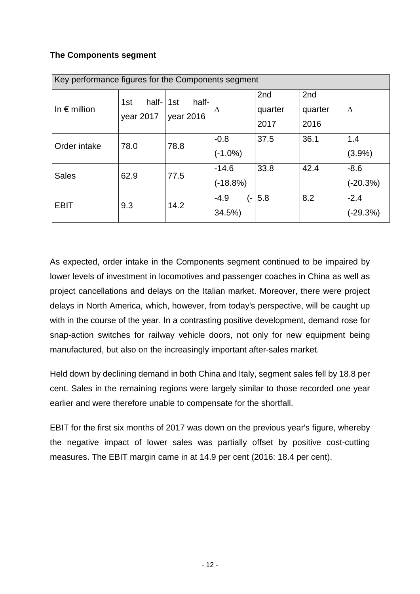# **The Components segment**

| Key performance figures for the Components segment |                           |                           |                                   |                        |                        |                      |
|----------------------------------------------------|---------------------------|---------------------------|-----------------------------------|------------------------|------------------------|----------------------|
| In $\epsilon$ million                              | half-<br>1st<br>year 2017 | half-<br>1st<br>year 2016 | Δ                                 | 2nd<br>quarter<br>2017 | 2nd<br>quarter<br>2016 | Δ                    |
| Order intake                                       | 78.0                      | 78.8                      | $-0.8$<br>$(-1.0\%)$              | 37.5                   | 36.1                   | 1.4<br>(3.9%)        |
| <b>Sales</b>                                       | 62.9                      | 77.5                      | $-14.6$<br>$(-18.8%)$             | 33.8                   | 42.4                   | $-8.6$<br>$(-20.3%)$ |
| <b>EBIT</b>                                        | 9.3                       | 14.2                      | $-4.9$<br>$\overline{a}$<br>34.5% | 5.8                    | 8.2                    | $-2.4$<br>(-29.3%)   |

As expected, order intake in the Components segment continued to be impaired by lower levels of investment in locomotives and passenger coaches in China as well as project cancellations and delays on the Italian market. Moreover, there were project delays in North America, which, however, from today's perspective, will be caught up with in the course of the year. In a contrasting positive development, demand rose for snap-action switches for railway vehicle doors, not only for new equipment being manufactured, but also on the increasingly important after-sales market.

Held down by declining demand in both China and Italy, segment sales fell by 18.8 per cent. Sales in the remaining regions were largely similar to those recorded one year earlier and were therefore unable to compensate for the shortfall.

EBIT for the first six months of 2017 was down on the previous year's figure, whereby the negative impact of lower sales was partially offset by positive cost-cutting measures. The EBIT margin came in at 14.9 per cent (2016: 18.4 per cent).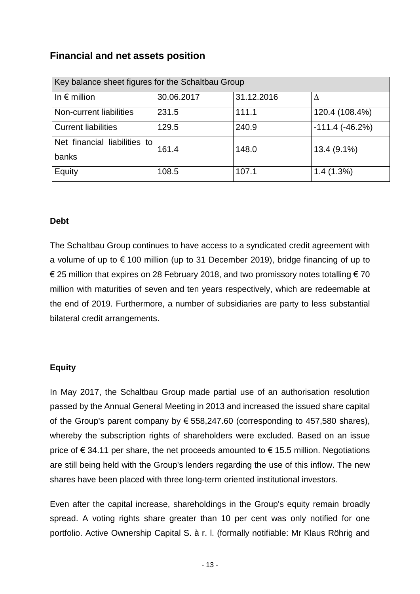# **Financial and net assets position**

| Key balance sheet figures for the Schaltbau Group |            |            |                     |  |  |  |
|---------------------------------------------------|------------|------------|---------------------|--|--|--|
| In $\epsilon$ million                             | 30.06.2017 | 31.12.2016 | Δ                   |  |  |  |
| Non-current liabilities                           | 231.5      | 111.1      | 120.4 (108.4%)      |  |  |  |
| <b>Current liabilities</b>                        | 129.5      | 240.9      | $-111.4$ $(-46.2%)$ |  |  |  |
| Net financial liabilities to                      | 161.4      | 148.0      | 13.4 (9.1%)         |  |  |  |
| banks                                             |            |            |                     |  |  |  |
| Equity                                            | 108.5      | 107.1      | 1.4(1.3%)           |  |  |  |

## **Debt**

The Schaltbau Group continues to have access to a syndicated credit agreement with a volume of up to  $\epsilon$  100 million (up to 31 December 2019), bridge financing of up to € 25 million that expires on 28 February 2018, and two promissory notes totalling  $∈ 70$ million with maturities of seven and ten years respectively, which are redeemable at the end of 2019. Furthermore, a number of subsidiaries are party to less substantial bilateral credit arrangements.

## **Equity**

In May 2017, the Schaltbau Group made partial use of an authorisation resolution passed by the Annual General Meeting in 2013 and increased the issued share capital of the Group's parent company by  $\epsilon$  558,247.60 (corresponding to 457,580 shares), whereby the subscription rights of shareholders were excluded. Based on an issue price of €34.11 per share, the net proceeds amounted to €15.5 million. Negotiations are still being held with the Group's lenders regarding the use of this inflow. The new shares have been placed with three long-term oriented institutional investors.

Even after the capital increase, shareholdings in the Group's equity remain broadly spread. A voting rights share greater than 10 per cent was only notified for one portfolio. Active Ownership Capital S. à r. l. (formally notifiable: Mr Klaus Röhrig and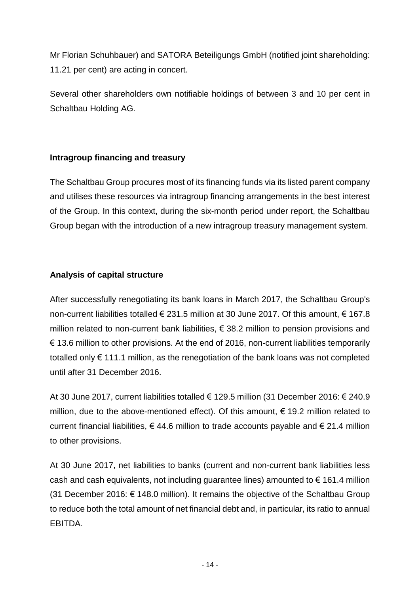Mr Florian Schuhbauer) and SATORA Beteiligungs GmbH (notified joint shareholding: 11.21 per cent) are acting in concert.

Several other shareholders own notifiable holdings of between 3 and 10 per cent in Schaltbau Holding AG.

# **Intragroup financing and treasury**

The Schaltbau Group procures most of its financing funds via its listed parent company and utilises these resources via intragroup financing arrangements in the best interest of the Group. In this context, during the six-month period under report, the Schaltbau Group began with the introduction of a new intragroup treasury management system.

# **Analysis of capital structure**

After successfully renegotiating its bank loans in March 2017, the Schaltbau Group's non-current liabilities totalled € 231.5 million at 30 June 2017. Of this amount, € 167.8 million related to non-current bank liabilities, € 38.2 million to pension provisions and  $\epsilon$  13.6 million to other provisions. At the end of 2016, non-current liabilities temporarily totalled only € 111.1 million, as the renegotiation of the bank loans was not completed until after 31 December 2016.

At 30 June 2017, current liabilities totalled € 129.5 million (31 December 2016: € 240.9 million, due to the above-mentioned effect). Of this amount,  $\epsilon$  19.2 million related to current financial liabilities,  $\epsilon$  44.6 million to trade accounts payable and  $\epsilon$  21.4 million to other provisions.

At 30 June 2017, net liabilities to banks (current and non-current bank liabilities less cash and cash equivalents, not including guarantee lines) amounted to  $\epsilon$  161.4 million (31 December 2016: € 148.0 million). It remains the objective of the Schaltbau Group to reduce both the total amount of net financial debt and, in particular, its ratio to annual EBITDA.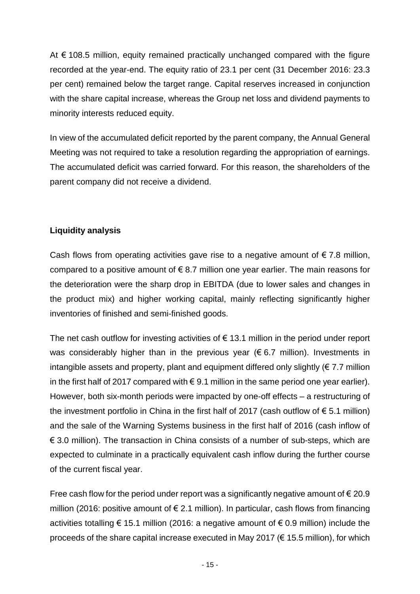At  $\epsilon$  108.5 million, equity remained practically unchanged compared with the figure recorded at the year-end. The equity ratio of 23.1 per cent (31 December 2016: 23.3 per cent) remained below the target range. Capital reserves increased in conjunction with the share capital increase, whereas the Group net loss and dividend payments to minority interests reduced equity.

In view of the accumulated deficit reported by the parent company, the Annual General Meeting was not required to take a resolution regarding the appropriation of earnings. The accumulated deficit was carried forward. For this reason, the shareholders of the parent company did not receive a dividend.

# **Liquidity analysis**

Cash flows from operating activities gave rise to a negative amount of  $\epsilon$  7.8 million, compared to a positive amount of  $\epsilon$  8.7 million one year earlier. The main reasons for the deterioration were the sharp drop in EBITDA (due to lower sales and changes in the product mix) and higher working capital, mainly reflecting significantly higher inventories of finished and semi-finished goods.

The net cash outflow for investing activities of  $\epsilon$  13.1 million in the period under report was considerably higher than in the previous year ( $\epsilon$  6.7 million). Investments in intangible assets and property, plant and equipment differed only slightly ( $\epsilon$  7.7 million in the first half of 2017 compared with  $\epsilon$  9.1 million in the same period one year earlier). However, both six-month periods were impacted by one-off effects – a restructuring of the investment portfolio in China in the first half of 2017 (cash outflow of  $\epsilon$  5.1 million) and the sale of the Warning Systems business in the first half of 2016 (cash inflow of € 3.0 million). The transaction in China consists of a number of sub-steps, which are expected to culminate in a practically equivalent cash inflow during the further course of the current fiscal year.

Free cash flow for the period under report was a significantly negative amount of  $\epsilon$  20.9 million (2016: positive amount of  $\epsilon$  2.1 million). In particular, cash flows from financing activities totalling € 15.1 million (2016: a negative amount of  $\epsilon$  0.9 million) include the proceeds of the share capital increase executed in May 2017 ( $\epsilon$  15.5 million), for which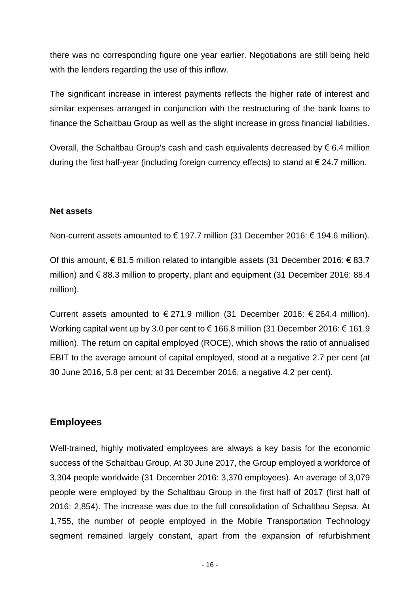there was no corresponding figure one year earlier. Negotiations are still being held with the lenders regarding the use of this inflow.

The significant increase in interest payments reflects the higher rate of interest and similar expenses arranged in conjunction with the restructuring of the bank loans to finance the Schaltbau Group as well as the slight increase in gross financial liabilities.

Overall, the Schaltbau Group's cash and cash equivalents decreased by  $\epsilon$  6.4 million during the first half-year (including foreign currency effects) to stand at  $\epsilon$  24.7 million.

## **Net assets**

Non-current assets amounted to € 197.7 million (31 December 2016: € 194.6 million).

Of this amount, € 81.5 million related to intangible assets (31 December 2016: € 83.7 million) and  $\epsilon$  88.3 million to property, plant and equipment (31 December 2016: 88.4 million).

Current assets amounted to  $\epsilon$  271.9 million (31 December 2016:  $\epsilon$  264.4 million). Working capital went up by 3.0 per cent to € 166.8 million (31 December 2016: € 161.9 million). The return on capital employed (ROCE), which shows the ratio of annualised EBIT to the average amount of capital employed, stood at a negative 2.7 per cent (at 30 June 2016, 5.8 per cent; at 31 December 2016, a negative 4.2 per cent).

# **Employees**

Well-trained, highly motivated employees are always a key basis for the economic success of the Schaltbau Group. At 30 June 2017, the Group employed a workforce of 3,304 people worldwide (31 December 2016: 3,370 employees). An average of 3,079 people were employed by the Schaltbau Group in the first half of 2017 (first half of 2016: 2,854). The increase was due to the full consolidation of Schaltbau Sepsa. At 1,755, the number of people employed in the Mobile Transportation Technology segment remained largely constant, apart from the expansion of refurbishment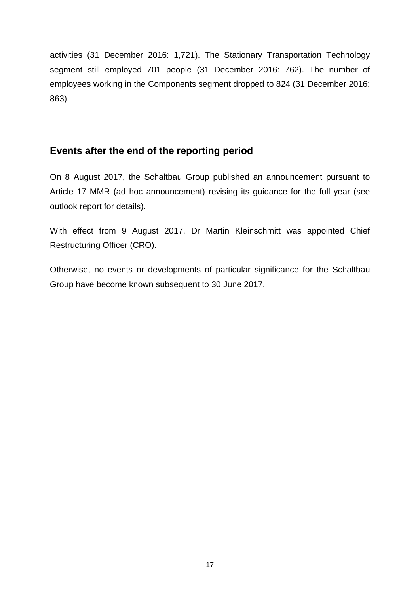activities (31 December 2016: 1,721). The Stationary Transportation Technology segment still employed 701 people (31 December 2016: 762). The number of employees working in the Components segment dropped to 824 (31 December 2016: 863).

# **Events after the end of the reporting period**

On 8 August 2017, the Schaltbau Group published an announcement pursuant to Article 17 MMR (ad hoc announcement) revising its guidance for the full year (see outlook report for details).

With effect from 9 August 2017, Dr Martin Kleinschmitt was appointed Chief Restructuring Officer (CRO).

Otherwise, no events or developments of particular significance for the Schaltbau Group have become known subsequent to 30 June 2017.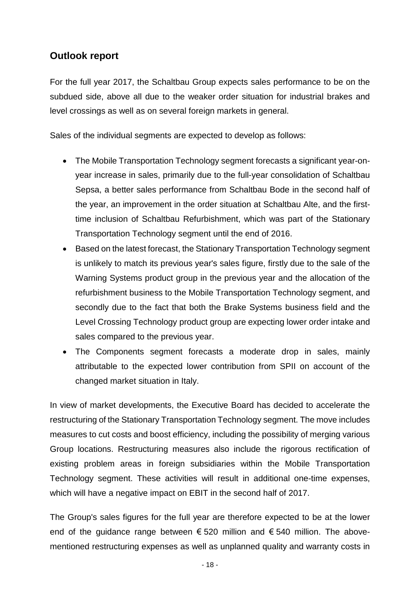# **Outlook report**

For the full year 2017, the Schaltbau Group expects sales performance to be on the subdued side, above all due to the weaker order situation for industrial brakes and level crossings as well as on several foreign markets in general.

Sales of the individual segments are expected to develop as follows:

- The Mobile Transportation Technology segment forecasts a significant year-onyear increase in sales, primarily due to the full-year consolidation of Schaltbau Sepsa, a better sales performance from Schaltbau Bode in the second half of the year, an improvement in the order situation at Schaltbau Alte, and the firsttime inclusion of Schaltbau Refurbishment, which was part of the Stationary Transportation Technology segment until the end of 2016.
- Based on the latest forecast, the Stationary Transportation Technology segment is unlikely to match its previous year's sales figure, firstly due to the sale of the Warning Systems product group in the previous year and the allocation of the refurbishment business to the Mobile Transportation Technology segment, and secondly due to the fact that both the Brake Systems business field and the Level Crossing Technology product group are expecting lower order intake and sales compared to the previous year.
- The Components segment forecasts a moderate drop in sales, mainly attributable to the expected lower contribution from SPII on account of the changed market situation in Italy.

In view of market developments, the Executive Board has decided to accelerate the restructuring of the Stationary Transportation Technology segment. The move includes measures to cut costs and boost efficiency, including the possibility of merging various Group locations. Restructuring measures also include the rigorous rectification of existing problem areas in foreign subsidiaries within the Mobile Transportation Technology segment. These activities will result in additional one-time expenses, which will have a negative impact on EBIT in the second half of 2017.

The Group's sales figures for the full year are therefore expected to be at the lower end of the guidance range between  $\epsilon$  520 million and  $\epsilon$  540 million. The abovementioned restructuring expenses as well as unplanned quality and warranty costs in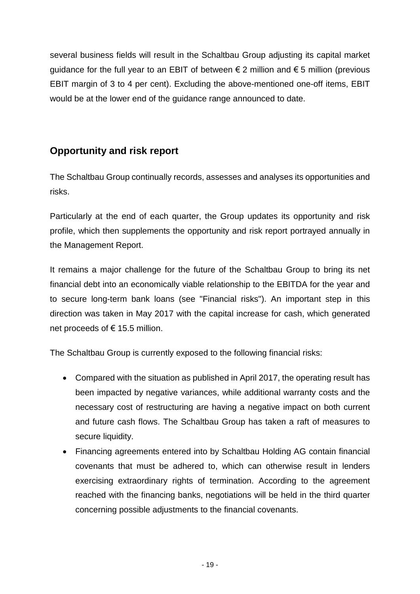several business fields will result in the Schaltbau Group adjusting its capital market quidance for the full year to an EBIT of between  $\epsilon$  2 million and  $\epsilon$  5 million (previous EBIT margin of 3 to 4 per cent). Excluding the above-mentioned one-off items, EBIT would be at the lower end of the guidance range announced to date.

# **Opportunity and risk report**

The Schaltbau Group continually records, assesses and analyses its opportunities and risks.

Particularly at the end of each quarter, the Group updates its opportunity and risk profile, which then supplements the opportunity and risk report portrayed annually in the Management Report.

It remains a major challenge for the future of the Schaltbau Group to bring its net financial debt into an economically viable relationship to the EBITDA for the year and to secure long-term bank loans (see "Financial risks"). An important step in this direction was taken in May 2017 with the capital increase for cash, which generated net proceeds of  $\epsilon$  15.5 million.

The Schaltbau Group is currently exposed to the following financial risks:

- Compared with the situation as published in April 2017, the operating result has been impacted by negative variances, while additional warranty costs and the necessary cost of restructuring are having a negative impact on both current and future cash flows. The Schaltbau Group has taken a raft of measures to secure liquidity.
- Financing agreements entered into by Schaltbau Holding AG contain financial covenants that must be adhered to, which can otherwise result in lenders exercising extraordinary rights of termination. According to the agreement reached with the financing banks, negotiations will be held in the third quarter concerning possible adjustments to the financial covenants.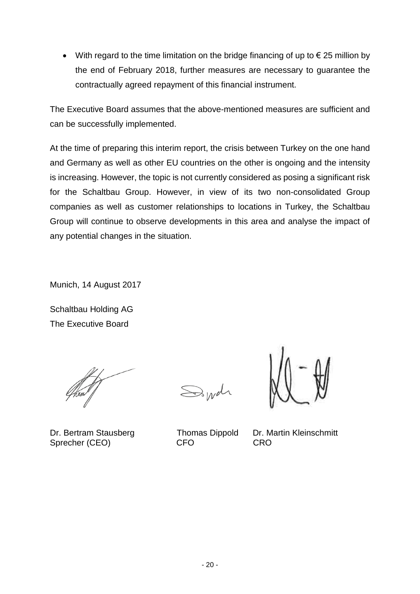With regard to the time limitation on the bridge financing of up to  $\epsilon$  25 million by the end of February 2018, further measures are necessary to guarantee the contractually agreed repayment of this financial instrument.

The Executive Board assumes that the above-mentioned measures are sufficient and can be successfully implemented.

At the time of preparing this interim report, the crisis between Turkey on the one hand and Germany as well as other EU countries on the other is ongoing and the intensity is increasing. However, the topic is not currently considered as posing a significant risk for the Schaltbau Group. However, in view of its two non-consolidated Group companies as well as customer relationships to locations in Turkey, the Schaltbau Group will continue to observe developments in this area and analyse the impact of any potential changes in the situation.

Munich, 14 August 2017

Schaltbau Holding AG The Executive Board

Dr. Bertram Stausberg Thomas Dippold Dr. Martin Kleinschmitt Sprecher (CEO) CFO CRO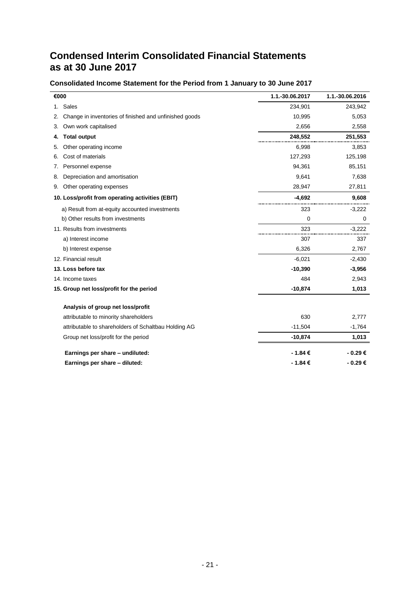# **Condensed Interim Consolidated Financial Statements as at 30 June 2017**

## **Consolidated Income Statement for the Period from 1 January to 30 June 2017**

| €000                                                         | 1.1.-30.06.2017 | 1.1.-30.06.2016 |
|--------------------------------------------------------------|-----------------|-----------------|
| 1. Sales                                                     | 234,901         | 243,942         |
| Change in inventories of finished and unfinished goods<br>2. | 10,995          | 5,053           |
| Own work capitalised<br>3.                                   | 2,656           | 2,558           |
| <b>Total output</b><br>4.                                    | 248,552         | 251,553         |
| Other operating income<br>5.                                 | 6,998           | 3,853           |
| Cost of materials<br>6.                                      | 127,293         | 125,198         |
| Personnel expense<br>7.                                      | 94,361          | 85,151          |
| Depreciation and amortisation<br>8.                          | 9,641           | 7,638           |
| Other operating expenses<br>9.                               | 28,947          | 27,811          |
| 10. Loss/profit from operating activities (EBIT)             | $-4,692$        | 9,608           |
| a) Result from at-equity accounted investments               | 323             | $-3,222$        |
| b) Other results from investments                            | 0               | 0               |
| 11. Results from investments                                 | 323             | $-3,222$        |
| a) Interest income                                           | 307             | 337             |
| b) Interest expense                                          | 6,326           | 2,767           |
| 12. Financial result                                         | $-6,021$        | $-2,430$        |
| 13. Loss before tax                                          | $-10,390$       | $-3,956$        |
| 14. Income taxes                                             | 484             | 2,943           |
| 15. Group net loss/profit for the period                     | $-10,874$       | 1,013           |
| Analysis of group net loss/profit                            |                 |                 |
| attributable to minority shareholders                        | 630             | 2,777           |
| attributable to shareholders of Schaltbau Holding AG         | $-11,504$       | $-1,764$        |
| Group net loss/profit for the period                         | $-10,874$       | 1,013           |
| Earnings per share - undiluted:                              | - 1.84 €        | - 0.29€         |
| Earnings per share - diluted:                                | $-1.84€$        | - 0.29€         |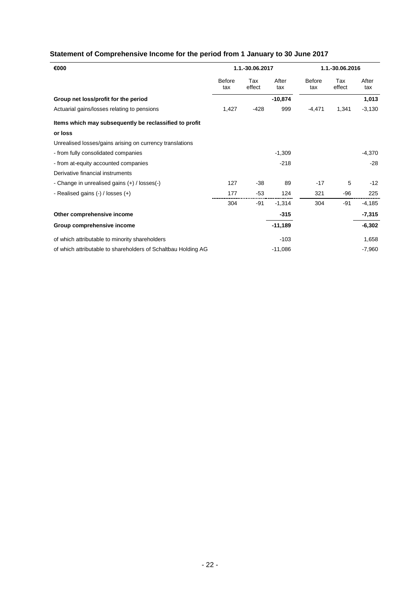## **Statement of Comprehensive Income for the period from 1 January to 30 June 2017**

| €000                                                          | 1.1.-30.06.2017      |               |              | 1.1.-30.06.2016      |               |              |
|---------------------------------------------------------------|----------------------|---------------|--------------|----------------------|---------------|--------------|
|                                                               | <b>Before</b><br>tax | Tax<br>effect | After<br>tax | <b>Before</b><br>tax | Tax<br>effect | After<br>tax |
| Group net loss/profit for the period                          |                      |               | $-10,874$    |                      |               | 1,013        |
| Actuarial gains/losses relating to pensions                   | 1,427                | $-428$        | 999          | $-4,471$             | 1,341         | $-3,130$     |
| Items which may subsequently be reclassified to profit        |                      |               |              |                      |               |              |
| or loss                                                       |                      |               |              |                      |               |              |
| Unrealised losses/gains arising on currency translations      |                      |               |              |                      |               |              |
| - from fully consolidated companies                           |                      |               | $-1,309$     |                      |               | $-4,370$     |
| - from at-equity accounted companies                          |                      |               | $-218$       |                      |               | $-28$        |
| Derivative financial instruments                              |                      |               |              |                      |               |              |
| - Change in unrealised gains $(+)$ / losses $(-)$             | 127                  | $-38$         | 89           | $-17$                | 5             | $-12$        |
| - Realised gains $(-)$ / losses $(+)$                         | 177                  | $-53$         | 124          | 321                  | -96           | 225          |
|                                                               | 304                  | -91           | $-1,314$     | 304                  | -91           | $-4,185$     |
| Other comprehensive income                                    |                      |               | $-315$       |                      |               | $-7,315$     |
| Group comprehensive income                                    |                      |               | $-11,189$    |                      |               | $-6,302$     |
| of which attributable to minority shareholders                |                      |               | $-103$       |                      |               | 1,658        |
| of which attributable to shareholders of Schaltbau Holding AG |                      |               | $-11,086$    |                      |               | $-7,960$     |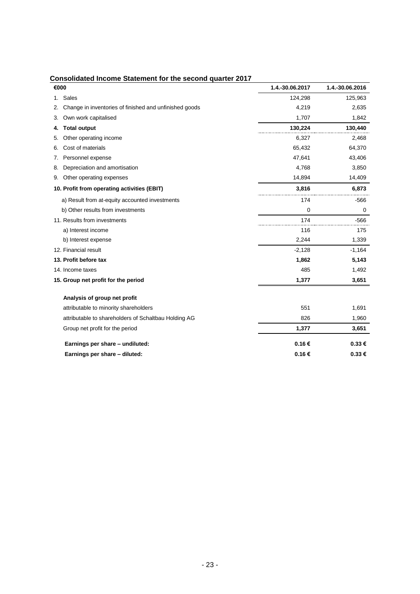| €000                                                         | 1.4.-30.06.2017 | 1.4.-30.06.2016 |
|--------------------------------------------------------------|-----------------|-----------------|
| Sales<br>1.                                                  | 124,298         | 125,963         |
| Change in inventories of finished and unfinished goods<br>2. | 4.219           | 2,635           |
| Own work capitalised<br>3.                                   | 1,707           | 1,842           |
| <b>Total output</b><br>4.                                    | 130,224         | 130,440         |
| Other operating income<br>5.                                 | 6,327           | 2,468           |
| Cost of materials<br>6.                                      | 65,432          | 64,370          |
| Personnel expense<br>7.                                      | 47,641          | 43,406          |
| Depreciation and amortisation<br>8.                          | 4,768           | 3,850           |
| Other operating expenses<br>9.                               | 14,894          | 14,409          |
| 10. Profit from operating activities (EBIT)                  | 3,816           | 6,873           |
| a) Result from at-equity accounted investments               | 174             | $-566$          |
| b) Other results from investments                            | $\mathbf 0$     | 0               |
| 11. Results from investments                                 | 174             | $-566$          |
| a) Interest income                                           | 116             | 175             |
| b) Interest expense                                          | 2,244           | 1,339           |
| 12. Financial result                                         | $-2,128$        | $-1,164$        |
| 13. Profit before tax                                        | 1,862           | 5,143           |
| 14. Income taxes                                             | 485             | 1,492           |
| 15. Group net profit for the period                          | 1,377           | 3,651           |
| Analysis of group net profit                                 |                 |                 |
| attributable to minority shareholders                        | 551             | 1,691           |
| attributable to shareholders of Schaltbau Holding AG         | 826             | 1,960           |
| Group net profit for the period                              | 1,377           | 3,651           |
| Earnings per share - undiluted:                              | 0.16€           | 0.33€           |
| Earnings per share - diluted:                                | 0.16€           | 0.33€           |

### **Consolidated Income Statement for the second quarter 2017**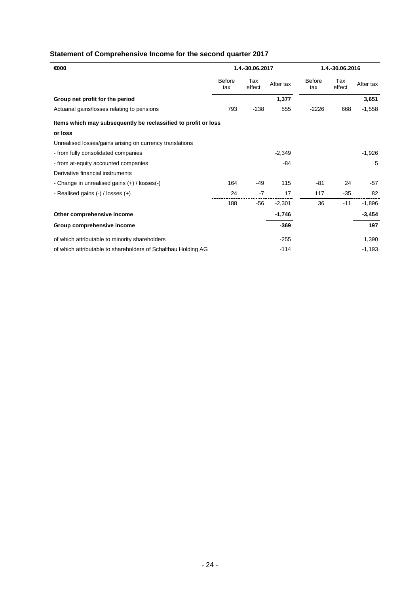## **Statement of Comprehensive Income for the second quarter 2017**

| €000                                                           | 1.4.-30.06.2017      |               | 1.4.-30.06.2016 |                      |               |           |
|----------------------------------------------------------------|----------------------|---------------|-----------------|----------------------|---------------|-----------|
|                                                                | <b>Before</b><br>tax | Tax<br>effect | After tax       | <b>Before</b><br>tax | Tax<br>effect | After tax |
| Group net profit for the period                                |                      |               | 1,377           |                      |               | 3,651     |
| Actuarial gains/losses relating to pensions                    | 793                  | $-238$        | 555             | $-2226$              | 668           | $-1,558$  |
| Items which may subsequently be reclassified to profit or loss |                      |               |                 |                      |               |           |
| or loss                                                        |                      |               |                 |                      |               |           |
| Unrealised losses/gains arising on currency translations       |                      |               |                 |                      |               |           |
| - from fully consolidated companies                            |                      |               | $-2,349$        |                      |               | $-1,926$  |
| - from at-equity accounted companies                           |                      |               | $-84$           |                      |               | 5         |
| Derivative financial instruments                               |                      |               |                 |                      |               |           |
| - Change in unrealised gains (+) / losses(-)                   | 164                  | $-49$         | 115             | -81                  | 24            | $-57$     |
| - Realised gains $(-)$ / losses $(+)$                          | 24                   | $-7$          | 17              | 117                  | $-35$         | 82        |
|                                                                | 188                  | $-56$         | $-2,301$        | 36                   | $-11$         | $-1,896$  |
| Other comprehensive income                                     |                      |               | $-1,746$        |                      |               | $-3,454$  |
| Group comprehensive income                                     |                      |               | $-369$          |                      |               | 197       |
| of which attributable to minority shareholders                 |                      |               | $-255$          |                      |               | 1,390     |
| of which attributable to shareholders of Schaltbau Holding AG  |                      |               | $-114$          |                      |               | $-1,193$  |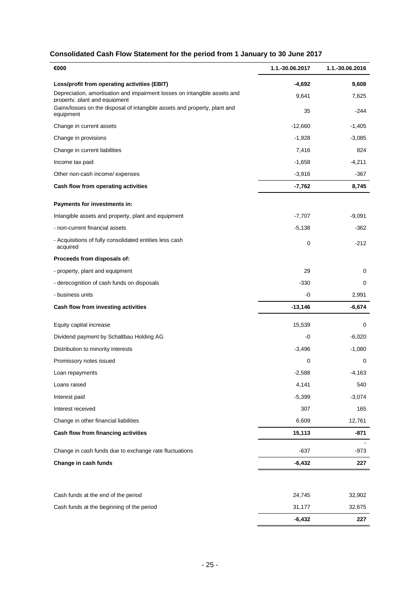## **Consolidated Cash Flow Statement for the period from 1 January to 30 June 2017**

| €000                                                                                                       | 1.1.-30.06.2017 | 1.1.-30.06.2016 |
|------------------------------------------------------------------------------------------------------------|-----------------|-----------------|
| Loss/profit from operating activities (EBIT)                                                               | -4,692          | 9,608           |
| Depreciation, amortisation and impairment losses on intangible assets and<br>property, plant and equipment | 9,641           | 7,625           |
| Gains/losses on the disposal of intangible assets and property, plant and<br>equipment                     | 35              | $-244$          |
| Change in current assets                                                                                   | $-12,660$       | $-1,405$        |
| Change in provisions                                                                                       | $-1,928$        | $-3,085$        |
| Change in current liabilities                                                                              | 7,416           | 824             |
| Income tax paid                                                                                            | $-1,658$        | $-4,211$        |
| Other non-cash income/ expenses                                                                            | $-3,916$        | -367            |
| Cash flow from operating activities                                                                        | $-7,762$        | 8,745           |
| Payments for investments in:                                                                               |                 |                 |
| Intangible assets and property, plant and equipment                                                        | $-7,707$        | $-9,091$        |
| - non-current financial assets                                                                             | $-5,138$        | -362            |
| - Acquisitions of fully consolidated entities less cash<br>acquired                                        | 0               | $-212$          |
| Proceeds from disposals of:                                                                                |                 |                 |
| - property, plant and equipment                                                                            | 29              | 0               |
| - derecognition of cash funds on disposals                                                                 | $-330$          | 0               |
| - business units                                                                                           | -0              | 2,991           |
| Cash flow from investing activities                                                                        | $-13,146$       | -6,674          |
| Equity capital increase                                                                                    | 15,539          | 0               |
| Dividend payment by Schaltbau Holding AG                                                                   | -0              | $-6,020$        |
| Distribution to minority interests                                                                         | $-3,496$        | $-1,080$        |
| Promissory notes issued                                                                                    | 0               | 0               |
| Loan repayments                                                                                            | $-2,588$        | $-4,163$        |
| Loans raised                                                                                               | 4,141           | 540             |
| Interest paid                                                                                              | $-5,399$        | $-3,074$        |
| Interest received                                                                                          | 307             | 165             |
| Change in other financial liabilities                                                                      | 6,609           | 12,761          |
| Cash flow from financing activities                                                                        | 15,113          | $-871$          |
| Change in cash funds due to exchange rate fluctuations                                                     | $-637$          | -973            |
| Change in cash funds                                                                                       | $-6,432$        | 227             |
|                                                                                                            |                 |                 |
| Cash funds at the end of the period                                                                        | 24,745          | 32,902          |
| Cash funds at the beginning of the period                                                                  | 31,177          | 32,675          |
|                                                                                                            | $-6,432$        | 227             |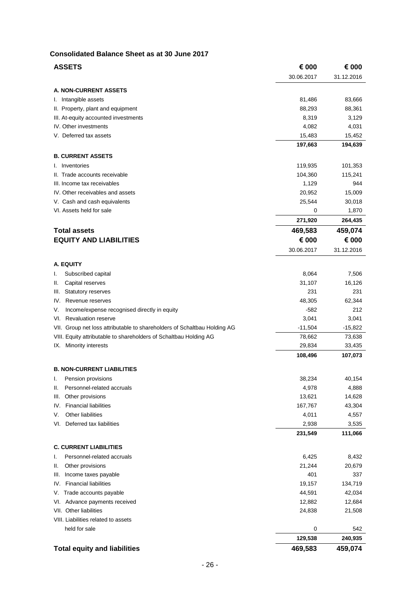#### **Consolidated Balance Sheet as at 30 June 2017**

| 30.06.2017<br>31.12.2016<br><b>A. NON-CURRENT ASSETS</b><br>I. Intangible assets<br>81,486<br>83,666<br>II. Property, plant and equipment<br>88,293<br>88,361<br>8,319<br>III. At-equity accounted investments<br>3,129<br>IV. Other investments<br>4,082<br>4,031<br>V. Deferred tax assets<br>15,483<br>15,452<br>197,663<br>194,639<br><b>B. CURRENT ASSETS</b><br>I. Inventories<br>119,935<br>101,353<br>II. Trade accounts receivable<br>104,360<br>115,241<br>III. Income tax receivables<br>1,129<br>944<br>IV. Other receivables and assets<br>20,952<br>15,009<br>V. Cash and cash equivalents<br>25,544<br>30,018<br>VI. Assets held for sale<br>0<br>1,870<br>271,920<br>264,435<br>469,583<br><b>Total assets</b><br>459,074<br><b>EQUITY AND LIABILITIES</b><br>€ 000<br>€ 000<br>30.06.2017<br>31.12.2016<br><b>A. EQUITY</b><br>Subscribed capital<br>8,064<br>7,506<br>I.<br>31,107<br>Capital reserves<br>16,126<br>Ш.<br>231<br>Statutory reserves<br>231<br>III.<br>48,305<br>IV. Revenue reserves<br>62,344<br>$-582$<br>212<br>Income/expense recognised directly in equity<br>V.<br><b>Revaluation reserve</b><br>3,041<br>VI.<br>3,041<br>VII. Group net loss attributable to shareholders of Schaltbau Holding AG<br>$-11,504$<br>$-15,822$<br>VIII. Equity attributable to shareholders of Schaltbau Holding AG<br>78,662<br>73,638<br>29,834<br>IX. Minority interests<br>33,435<br>108,496<br>107,073<br><b>B. NON-CURRENT LIABILITIES</b><br>38,234<br>40,154<br>Pension provisions<br>Personnel-related accruals<br>4,888<br>4,978<br>Ш.<br>Other provisions<br>13,621<br>14,628<br>III.<br><b>Financial liabilities</b><br>167,767<br>43,304<br>IV.<br>Other liabilities<br>V.<br>4,011<br>4,557<br>VI. Deferred tax liabilities<br>2,938<br>3,535<br>231,549<br>111,066<br><b>C. CURRENT LIABILITIES</b><br>Personnel-related accruals<br>6,425<br>8,432<br>I.<br>21,244<br>20,679<br>Other provisions<br>Ш.<br>401<br>337<br>Income taxes payable<br>III.<br><b>Financial liabilities</b><br>19,157<br>134,719<br>IV.<br>44,591<br>V. Trade accounts payable<br>42,034<br>12,882<br>VI. Advance payments received<br>12,684<br>VII. Other liabilities<br>24,838<br>21,508<br>VIII. Liabilities related to assets<br>held for sale<br>0<br>542<br>129,538<br>240,935<br><b>Total equity and liabilities</b><br>469,583<br>459,074 | <b>ASSETS</b> | € 000 | € 000 |
|-------------------------------------------------------------------------------------------------------------------------------------------------------------------------------------------------------------------------------------------------------------------------------------------------------------------------------------------------------------------------------------------------------------------------------------------------------------------------------------------------------------------------------------------------------------------------------------------------------------------------------------------------------------------------------------------------------------------------------------------------------------------------------------------------------------------------------------------------------------------------------------------------------------------------------------------------------------------------------------------------------------------------------------------------------------------------------------------------------------------------------------------------------------------------------------------------------------------------------------------------------------------------------------------------------------------------------------------------------------------------------------------------------------------------------------------------------------------------------------------------------------------------------------------------------------------------------------------------------------------------------------------------------------------------------------------------------------------------------------------------------------------------------------------------------------------------------------------------------------------------------------------------------------------------------------------------------------------------------------------------------------------------------------------------------------------------------------------------------------------------------------------------------------------------------------------------------------------------------------------------------------------------------------------------------------------------------------------------------------------|---------------|-------|-------|
|                                                                                                                                                                                                                                                                                                                                                                                                                                                                                                                                                                                                                                                                                                                                                                                                                                                                                                                                                                                                                                                                                                                                                                                                                                                                                                                                                                                                                                                                                                                                                                                                                                                                                                                                                                                                                                                                                                                                                                                                                                                                                                                                                                                                                                                                                                                                                                   |               |       |       |
|                                                                                                                                                                                                                                                                                                                                                                                                                                                                                                                                                                                                                                                                                                                                                                                                                                                                                                                                                                                                                                                                                                                                                                                                                                                                                                                                                                                                                                                                                                                                                                                                                                                                                                                                                                                                                                                                                                                                                                                                                                                                                                                                                                                                                                                                                                                                                                   |               |       |       |
|                                                                                                                                                                                                                                                                                                                                                                                                                                                                                                                                                                                                                                                                                                                                                                                                                                                                                                                                                                                                                                                                                                                                                                                                                                                                                                                                                                                                                                                                                                                                                                                                                                                                                                                                                                                                                                                                                                                                                                                                                                                                                                                                                                                                                                                                                                                                                                   |               |       |       |
|                                                                                                                                                                                                                                                                                                                                                                                                                                                                                                                                                                                                                                                                                                                                                                                                                                                                                                                                                                                                                                                                                                                                                                                                                                                                                                                                                                                                                                                                                                                                                                                                                                                                                                                                                                                                                                                                                                                                                                                                                                                                                                                                                                                                                                                                                                                                                                   |               |       |       |
|                                                                                                                                                                                                                                                                                                                                                                                                                                                                                                                                                                                                                                                                                                                                                                                                                                                                                                                                                                                                                                                                                                                                                                                                                                                                                                                                                                                                                                                                                                                                                                                                                                                                                                                                                                                                                                                                                                                                                                                                                                                                                                                                                                                                                                                                                                                                                                   |               |       |       |
|                                                                                                                                                                                                                                                                                                                                                                                                                                                                                                                                                                                                                                                                                                                                                                                                                                                                                                                                                                                                                                                                                                                                                                                                                                                                                                                                                                                                                                                                                                                                                                                                                                                                                                                                                                                                                                                                                                                                                                                                                                                                                                                                                                                                                                                                                                                                                                   |               |       |       |
|                                                                                                                                                                                                                                                                                                                                                                                                                                                                                                                                                                                                                                                                                                                                                                                                                                                                                                                                                                                                                                                                                                                                                                                                                                                                                                                                                                                                                                                                                                                                                                                                                                                                                                                                                                                                                                                                                                                                                                                                                                                                                                                                                                                                                                                                                                                                                                   |               |       |       |
|                                                                                                                                                                                                                                                                                                                                                                                                                                                                                                                                                                                                                                                                                                                                                                                                                                                                                                                                                                                                                                                                                                                                                                                                                                                                                                                                                                                                                                                                                                                                                                                                                                                                                                                                                                                                                                                                                                                                                                                                                                                                                                                                                                                                                                                                                                                                                                   |               |       |       |
|                                                                                                                                                                                                                                                                                                                                                                                                                                                                                                                                                                                                                                                                                                                                                                                                                                                                                                                                                                                                                                                                                                                                                                                                                                                                                                                                                                                                                                                                                                                                                                                                                                                                                                                                                                                                                                                                                                                                                                                                                                                                                                                                                                                                                                                                                                                                                                   |               |       |       |
|                                                                                                                                                                                                                                                                                                                                                                                                                                                                                                                                                                                                                                                                                                                                                                                                                                                                                                                                                                                                                                                                                                                                                                                                                                                                                                                                                                                                                                                                                                                                                                                                                                                                                                                                                                                                                                                                                                                                                                                                                                                                                                                                                                                                                                                                                                                                                                   |               |       |       |
|                                                                                                                                                                                                                                                                                                                                                                                                                                                                                                                                                                                                                                                                                                                                                                                                                                                                                                                                                                                                                                                                                                                                                                                                                                                                                                                                                                                                                                                                                                                                                                                                                                                                                                                                                                                                                                                                                                                                                                                                                                                                                                                                                                                                                                                                                                                                                                   |               |       |       |
|                                                                                                                                                                                                                                                                                                                                                                                                                                                                                                                                                                                                                                                                                                                                                                                                                                                                                                                                                                                                                                                                                                                                                                                                                                                                                                                                                                                                                                                                                                                                                                                                                                                                                                                                                                                                                                                                                                                                                                                                                                                                                                                                                                                                                                                                                                                                                                   |               |       |       |
|                                                                                                                                                                                                                                                                                                                                                                                                                                                                                                                                                                                                                                                                                                                                                                                                                                                                                                                                                                                                                                                                                                                                                                                                                                                                                                                                                                                                                                                                                                                                                                                                                                                                                                                                                                                                                                                                                                                                                                                                                                                                                                                                                                                                                                                                                                                                                                   |               |       |       |
|                                                                                                                                                                                                                                                                                                                                                                                                                                                                                                                                                                                                                                                                                                                                                                                                                                                                                                                                                                                                                                                                                                                                                                                                                                                                                                                                                                                                                                                                                                                                                                                                                                                                                                                                                                                                                                                                                                                                                                                                                                                                                                                                                                                                                                                                                                                                                                   |               |       |       |
|                                                                                                                                                                                                                                                                                                                                                                                                                                                                                                                                                                                                                                                                                                                                                                                                                                                                                                                                                                                                                                                                                                                                                                                                                                                                                                                                                                                                                                                                                                                                                                                                                                                                                                                                                                                                                                                                                                                                                                                                                                                                                                                                                                                                                                                                                                                                                                   |               |       |       |
|                                                                                                                                                                                                                                                                                                                                                                                                                                                                                                                                                                                                                                                                                                                                                                                                                                                                                                                                                                                                                                                                                                                                                                                                                                                                                                                                                                                                                                                                                                                                                                                                                                                                                                                                                                                                                                                                                                                                                                                                                                                                                                                                                                                                                                                                                                                                                                   |               |       |       |
|                                                                                                                                                                                                                                                                                                                                                                                                                                                                                                                                                                                                                                                                                                                                                                                                                                                                                                                                                                                                                                                                                                                                                                                                                                                                                                                                                                                                                                                                                                                                                                                                                                                                                                                                                                                                                                                                                                                                                                                                                                                                                                                                                                                                                                                                                                                                                                   |               |       |       |
|                                                                                                                                                                                                                                                                                                                                                                                                                                                                                                                                                                                                                                                                                                                                                                                                                                                                                                                                                                                                                                                                                                                                                                                                                                                                                                                                                                                                                                                                                                                                                                                                                                                                                                                                                                                                                                                                                                                                                                                                                                                                                                                                                                                                                                                                                                                                                                   |               |       |       |
|                                                                                                                                                                                                                                                                                                                                                                                                                                                                                                                                                                                                                                                                                                                                                                                                                                                                                                                                                                                                                                                                                                                                                                                                                                                                                                                                                                                                                                                                                                                                                                                                                                                                                                                                                                                                                                                                                                                                                                                                                                                                                                                                                                                                                                                                                                                                                                   |               |       |       |
|                                                                                                                                                                                                                                                                                                                                                                                                                                                                                                                                                                                                                                                                                                                                                                                                                                                                                                                                                                                                                                                                                                                                                                                                                                                                                                                                                                                                                                                                                                                                                                                                                                                                                                                                                                                                                                                                                                                                                                                                                                                                                                                                                                                                                                                                                                                                                                   |               |       |       |
|                                                                                                                                                                                                                                                                                                                                                                                                                                                                                                                                                                                                                                                                                                                                                                                                                                                                                                                                                                                                                                                                                                                                                                                                                                                                                                                                                                                                                                                                                                                                                                                                                                                                                                                                                                                                                                                                                                                                                                                                                                                                                                                                                                                                                                                                                                                                                                   |               |       |       |
|                                                                                                                                                                                                                                                                                                                                                                                                                                                                                                                                                                                                                                                                                                                                                                                                                                                                                                                                                                                                                                                                                                                                                                                                                                                                                                                                                                                                                                                                                                                                                                                                                                                                                                                                                                                                                                                                                                                                                                                                                                                                                                                                                                                                                                                                                                                                                                   |               |       |       |
|                                                                                                                                                                                                                                                                                                                                                                                                                                                                                                                                                                                                                                                                                                                                                                                                                                                                                                                                                                                                                                                                                                                                                                                                                                                                                                                                                                                                                                                                                                                                                                                                                                                                                                                                                                                                                                                                                                                                                                                                                                                                                                                                                                                                                                                                                                                                                                   |               |       |       |
|                                                                                                                                                                                                                                                                                                                                                                                                                                                                                                                                                                                                                                                                                                                                                                                                                                                                                                                                                                                                                                                                                                                                                                                                                                                                                                                                                                                                                                                                                                                                                                                                                                                                                                                                                                                                                                                                                                                                                                                                                                                                                                                                                                                                                                                                                                                                                                   |               |       |       |
|                                                                                                                                                                                                                                                                                                                                                                                                                                                                                                                                                                                                                                                                                                                                                                                                                                                                                                                                                                                                                                                                                                                                                                                                                                                                                                                                                                                                                                                                                                                                                                                                                                                                                                                                                                                                                                                                                                                                                                                                                                                                                                                                                                                                                                                                                                                                                                   |               |       |       |
|                                                                                                                                                                                                                                                                                                                                                                                                                                                                                                                                                                                                                                                                                                                                                                                                                                                                                                                                                                                                                                                                                                                                                                                                                                                                                                                                                                                                                                                                                                                                                                                                                                                                                                                                                                                                                                                                                                                                                                                                                                                                                                                                                                                                                                                                                                                                                                   |               |       |       |
|                                                                                                                                                                                                                                                                                                                                                                                                                                                                                                                                                                                                                                                                                                                                                                                                                                                                                                                                                                                                                                                                                                                                                                                                                                                                                                                                                                                                                                                                                                                                                                                                                                                                                                                                                                                                                                                                                                                                                                                                                                                                                                                                                                                                                                                                                                                                                                   |               |       |       |
|                                                                                                                                                                                                                                                                                                                                                                                                                                                                                                                                                                                                                                                                                                                                                                                                                                                                                                                                                                                                                                                                                                                                                                                                                                                                                                                                                                                                                                                                                                                                                                                                                                                                                                                                                                                                                                                                                                                                                                                                                                                                                                                                                                                                                                                                                                                                                                   |               |       |       |
|                                                                                                                                                                                                                                                                                                                                                                                                                                                                                                                                                                                                                                                                                                                                                                                                                                                                                                                                                                                                                                                                                                                                                                                                                                                                                                                                                                                                                                                                                                                                                                                                                                                                                                                                                                                                                                                                                                                                                                                                                                                                                                                                                                                                                                                                                                                                                                   |               |       |       |
|                                                                                                                                                                                                                                                                                                                                                                                                                                                                                                                                                                                                                                                                                                                                                                                                                                                                                                                                                                                                                                                                                                                                                                                                                                                                                                                                                                                                                                                                                                                                                                                                                                                                                                                                                                                                                                                                                                                                                                                                                                                                                                                                                                                                                                                                                                                                                                   |               |       |       |
|                                                                                                                                                                                                                                                                                                                                                                                                                                                                                                                                                                                                                                                                                                                                                                                                                                                                                                                                                                                                                                                                                                                                                                                                                                                                                                                                                                                                                                                                                                                                                                                                                                                                                                                                                                                                                                                                                                                                                                                                                                                                                                                                                                                                                                                                                                                                                                   |               |       |       |
|                                                                                                                                                                                                                                                                                                                                                                                                                                                                                                                                                                                                                                                                                                                                                                                                                                                                                                                                                                                                                                                                                                                                                                                                                                                                                                                                                                                                                                                                                                                                                                                                                                                                                                                                                                                                                                                                                                                                                                                                                                                                                                                                                                                                                                                                                                                                                                   |               |       |       |
|                                                                                                                                                                                                                                                                                                                                                                                                                                                                                                                                                                                                                                                                                                                                                                                                                                                                                                                                                                                                                                                                                                                                                                                                                                                                                                                                                                                                                                                                                                                                                                                                                                                                                                                                                                                                                                                                                                                                                                                                                                                                                                                                                                                                                                                                                                                                                                   |               |       |       |
|                                                                                                                                                                                                                                                                                                                                                                                                                                                                                                                                                                                                                                                                                                                                                                                                                                                                                                                                                                                                                                                                                                                                                                                                                                                                                                                                                                                                                                                                                                                                                                                                                                                                                                                                                                                                                                                                                                                                                                                                                                                                                                                                                                                                                                                                                                                                                                   |               |       |       |
|                                                                                                                                                                                                                                                                                                                                                                                                                                                                                                                                                                                                                                                                                                                                                                                                                                                                                                                                                                                                                                                                                                                                                                                                                                                                                                                                                                                                                                                                                                                                                                                                                                                                                                                                                                                                                                                                                                                                                                                                                                                                                                                                                                                                                                                                                                                                                                   |               |       |       |
|                                                                                                                                                                                                                                                                                                                                                                                                                                                                                                                                                                                                                                                                                                                                                                                                                                                                                                                                                                                                                                                                                                                                                                                                                                                                                                                                                                                                                                                                                                                                                                                                                                                                                                                                                                                                                                                                                                                                                                                                                                                                                                                                                                                                                                                                                                                                                                   |               |       |       |
|                                                                                                                                                                                                                                                                                                                                                                                                                                                                                                                                                                                                                                                                                                                                                                                                                                                                                                                                                                                                                                                                                                                                                                                                                                                                                                                                                                                                                                                                                                                                                                                                                                                                                                                                                                                                                                                                                                                                                                                                                                                                                                                                                                                                                                                                                                                                                                   |               |       |       |
|                                                                                                                                                                                                                                                                                                                                                                                                                                                                                                                                                                                                                                                                                                                                                                                                                                                                                                                                                                                                                                                                                                                                                                                                                                                                                                                                                                                                                                                                                                                                                                                                                                                                                                                                                                                                                                                                                                                                                                                                                                                                                                                                                                                                                                                                                                                                                                   |               |       |       |
|                                                                                                                                                                                                                                                                                                                                                                                                                                                                                                                                                                                                                                                                                                                                                                                                                                                                                                                                                                                                                                                                                                                                                                                                                                                                                                                                                                                                                                                                                                                                                                                                                                                                                                                                                                                                                                                                                                                                                                                                                                                                                                                                                                                                                                                                                                                                                                   |               |       |       |
|                                                                                                                                                                                                                                                                                                                                                                                                                                                                                                                                                                                                                                                                                                                                                                                                                                                                                                                                                                                                                                                                                                                                                                                                                                                                                                                                                                                                                                                                                                                                                                                                                                                                                                                                                                                                                                                                                                                                                                                                                                                                                                                                                                                                                                                                                                                                                                   |               |       |       |
|                                                                                                                                                                                                                                                                                                                                                                                                                                                                                                                                                                                                                                                                                                                                                                                                                                                                                                                                                                                                                                                                                                                                                                                                                                                                                                                                                                                                                                                                                                                                                                                                                                                                                                                                                                                                                                                                                                                                                                                                                                                                                                                                                                                                                                                                                                                                                                   |               |       |       |
|                                                                                                                                                                                                                                                                                                                                                                                                                                                                                                                                                                                                                                                                                                                                                                                                                                                                                                                                                                                                                                                                                                                                                                                                                                                                                                                                                                                                                                                                                                                                                                                                                                                                                                                                                                                                                                                                                                                                                                                                                                                                                                                                                                                                                                                                                                                                                                   |               |       |       |
|                                                                                                                                                                                                                                                                                                                                                                                                                                                                                                                                                                                                                                                                                                                                                                                                                                                                                                                                                                                                                                                                                                                                                                                                                                                                                                                                                                                                                                                                                                                                                                                                                                                                                                                                                                                                                                                                                                                                                                                                                                                                                                                                                                                                                                                                                                                                                                   |               |       |       |
|                                                                                                                                                                                                                                                                                                                                                                                                                                                                                                                                                                                                                                                                                                                                                                                                                                                                                                                                                                                                                                                                                                                                                                                                                                                                                                                                                                                                                                                                                                                                                                                                                                                                                                                                                                                                                                                                                                                                                                                                                                                                                                                                                                                                                                                                                                                                                                   |               |       |       |
|                                                                                                                                                                                                                                                                                                                                                                                                                                                                                                                                                                                                                                                                                                                                                                                                                                                                                                                                                                                                                                                                                                                                                                                                                                                                                                                                                                                                                                                                                                                                                                                                                                                                                                                                                                                                                                                                                                                                                                                                                                                                                                                                                                                                                                                                                                                                                                   |               |       |       |
|                                                                                                                                                                                                                                                                                                                                                                                                                                                                                                                                                                                                                                                                                                                                                                                                                                                                                                                                                                                                                                                                                                                                                                                                                                                                                                                                                                                                                                                                                                                                                                                                                                                                                                                                                                                                                                                                                                                                                                                                                                                                                                                                                                                                                                                                                                                                                                   |               |       |       |
|                                                                                                                                                                                                                                                                                                                                                                                                                                                                                                                                                                                                                                                                                                                                                                                                                                                                                                                                                                                                                                                                                                                                                                                                                                                                                                                                                                                                                                                                                                                                                                                                                                                                                                                                                                                                                                                                                                                                                                                                                                                                                                                                                                                                                                                                                                                                                                   |               |       |       |
|                                                                                                                                                                                                                                                                                                                                                                                                                                                                                                                                                                                                                                                                                                                                                                                                                                                                                                                                                                                                                                                                                                                                                                                                                                                                                                                                                                                                                                                                                                                                                                                                                                                                                                                                                                                                                                                                                                                                                                                                                                                                                                                                                                                                                                                                                                                                                                   |               |       |       |
|                                                                                                                                                                                                                                                                                                                                                                                                                                                                                                                                                                                                                                                                                                                                                                                                                                                                                                                                                                                                                                                                                                                                                                                                                                                                                                                                                                                                                                                                                                                                                                                                                                                                                                                                                                                                                                                                                                                                                                                                                                                                                                                                                                                                                                                                                                                                                                   |               |       |       |
|                                                                                                                                                                                                                                                                                                                                                                                                                                                                                                                                                                                                                                                                                                                                                                                                                                                                                                                                                                                                                                                                                                                                                                                                                                                                                                                                                                                                                                                                                                                                                                                                                                                                                                                                                                                                                                                                                                                                                                                                                                                                                                                                                                                                                                                                                                                                                                   |               |       |       |
|                                                                                                                                                                                                                                                                                                                                                                                                                                                                                                                                                                                                                                                                                                                                                                                                                                                                                                                                                                                                                                                                                                                                                                                                                                                                                                                                                                                                                                                                                                                                                                                                                                                                                                                                                                                                                                                                                                                                                                                                                                                                                                                                                                                                                                                                                                                                                                   |               |       |       |
|                                                                                                                                                                                                                                                                                                                                                                                                                                                                                                                                                                                                                                                                                                                                                                                                                                                                                                                                                                                                                                                                                                                                                                                                                                                                                                                                                                                                                                                                                                                                                                                                                                                                                                                                                                                                                                                                                                                                                                                                                                                                                                                                                                                                                                                                                                                                                                   |               |       |       |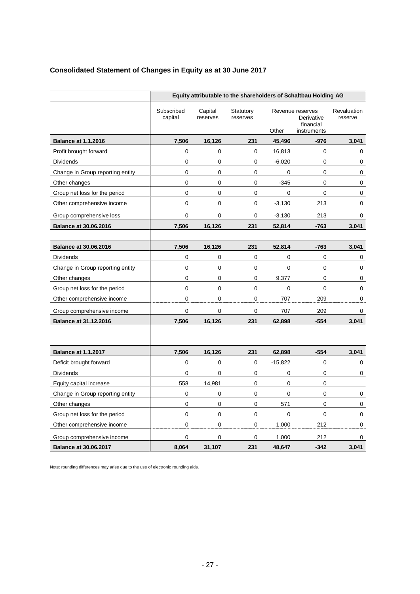## **Consolidated Statement of Changes in Equity as at 30 June 2017**

|                                  | Equity attributable to the shareholders of Schaltbau Holding AG |                     |                       |             |                                                            |                        |
|----------------------------------|-----------------------------------------------------------------|---------------------|-----------------------|-------------|------------------------------------------------------------|------------------------|
|                                  | Subscribed<br>capital                                           | Capital<br>reserves | Statutory<br>reserves | Other       | Revenue reserves<br>Derivative<br>financial<br>instruments | Revaluation<br>reserve |
| <b>Balance at 1.1.2016</b>       | 7,506                                                           | 16,126              | 231                   | 45,496      | $-976$                                                     | 3,041                  |
| Profit brought forward           | $\mathbf 0$                                                     | 0                   | $\pmb{0}$             | 16,813      | 0                                                          | 0                      |
| Dividends                        | 0                                                               | 0                   | $\mathbf 0$           | $-6,020$    | 0                                                          | 0                      |
| Change in Group reporting entity | $\mathbf 0$                                                     | 0                   | $\mathbf 0$           | $\mathbf 0$ | 0                                                          | 0                      |
| Other changes                    | $\mathbf 0$                                                     | 0                   | $\mathbf 0$           | $-345$      | 0                                                          | 0                      |
| Group net loss for the period    | 0                                                               | 0                   | $\mathbf 0$           | 0           | 0                                                          | $\mathbf 0$            |
| Other comprehensive income       | 0                                                               | 0                   | 0                     | $-3,130$    | 213                                                        | 0                      |
| Group comprehensive loss         | 0                                                               | 0                   | 0                     | $-3,130$    | 213                                                        | 0                      |
| <b>Balance at 30.06.2016</b>     | 7,506                                                           | 16,126              | 231                   | 52,814      | $-763$                                                     | 3,041                  |
|                                  |                                                                 |                     |                       |             |                                                            |                        |
| <b>Balance at 30.06.2016</b>     | 7,506                                                           | 16,126              | 231                   | 52,814      | $-763$                                                     | 3,041                  |
| <b>Dividends</b>                 | 0                                                               | 0                   | 0                     | 0           | 0                                                          | 0                      |
| Change in Group reporting entity | 0                                                               | 0                   | $\mathbf 0$           | 0           | 0                                                          | 0                      |
| Other changes                    | 0                                                               | 0                   | 0                     | 9,377       | 0                                                          | 0                      |
| Group net loss for the period    | 0                                                               | 0                   | $\pmb{0}$             | 0           | $\Omega$                                                   | 0                      |
| Other comprehensive income       | 0                                                               | 0                   | $\mathbf 0$           | 707         | 209                                                        | 0                      |
| Group comprehensive income       | $\mathbf 0$                                                     | $\mathbf 0$         | $\mathbf 0$           | 707         | 209                                                        | 0                      |
| <b>Balance at 31.12.2016</b>     | 7,506                                                           | 16,126              | 231                   | 62,898      | $-554$                                                     | 3,041                  |
|                                  |                                                                 |                     |                       |             |                                                            |                        |
| <b>Balance at 1.1.2017</b>       | 7,506                                                           | 16,126              | 231                   | 62,898      | $-554$                                                     | 3,041                  |
| Deficit brought forward          | 0                                                               | 0                   | $\mathbf 0$           | $-15,822$   | 0                                                          | 0                      |
| <b>Dividends</b>                 | 0                                                               | 0                   | 0                     | 0           | 0                                                          | 0                      |
| Equity capital increase          | 558                                                             | 14,981              | $\mathbf 0$           | 0           | 0                                                          |                        |
| Change in Group reporting entity | $\mathbf 0$                                                     | 0                   | $\mathbf 0$           | 0           | 0                                                          | 0                      |
| Other changes                    | $\mathbf 0$                                                     | 0                   | 0                     | 571         | 0                                                          | 0                      |
| Group net loss for the period    | 0                                                               | 0                   | 0                     | 0           | 0                                                          | 0                      |
| Other comprehensive income       | 0                                                               | 0                   | 0                     | 1,000       | 212                                                        | 0                      |
| Group comprehensive income       | 0                                                               | 0                   | $\mathbf 0$           | 1,000       | 212                                                        | 0                      |
| <b>Balance at 30.06.2017</b>     | 8,064                                                           | 31,107              | 231                   | 48,647      | $-342$                                                     | 3,041                  |

Note: rounding differences may arise due to the use of electronic rounding aids.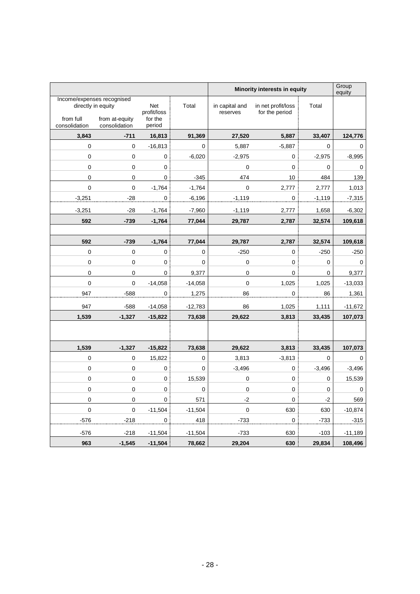|                            |                                                                                     |                                         |           | Minority interests in equity |                                      |             | Group<br>equity |
|----------------------------|-------------------------------------------------------------------------------------|-----------------------------------------|-----------|------------------------------|--------------------------------------|-------------|-----------------|
| from full<br>consolidation | Income/expenses recognised<br>directly in equity<br>from at-equity<br>consolidation | Net<br>profit/loss<br>for the<br>period | Total     | in capital and<br>reserves   | in net profit/loss<br>for the period | Total       |                 |
| 3,843                      | $-711$                                                                              | 16,813                                  | 91,369    | 27,520                       | 5,887                                | 33,407      | 124,776         |
| 0                          | $\mathbf 0$                                                                         | $-16,813$                               | 0         | 5,887                        | $-5,887$                             | 0           | 0               |
| $\pmb{0}$                  | $\mathbf 0$                                                                         | $\pmb{0}$                               | $-6,020$  | $-2,975$                     | 0                                    | $-2,975$    | $-8,995$        |
| $\mathbf 0$                | $\pmb{0}$                                                                           | $\mathbf 0$                             |           | $\pmb{0}$                    | $\mathbf 0$                          | 0           | $\pmb{0}$       |
| $\mathbf 0$                | $\mathbf 0$                                                                         | $\mathbf 0$                             | $-345$    | 474                          | 10                                   | 484         | 139             |
| $\mathbf 0$                | $\mathbf 0$                                                                         | $-1,764$                                | $-1,764$  | 0                            | 2,777                                | 2,777       | 1,013           |
| $-3,251$                   | $-28$                                                                               | $\pmb{0}$                               | $-6,196$  | $-1,119$                     | $\pmb{0}$                            | $-1,119$    | $-7,315$        |
| $-3,251$                   | $-28$                                                                               | $-1,764$                                | $-7,960$  | $-1,119$                     | 2,777                                | 1,658       | $-6,302$        |
| 592                        | $-739$                                                                              | $-1,764$                                | 77,044    | 29,787                       | 2,787                                | 32,574      | 109,618         |
|                            |                                                                                     |                                         |           |                              |                                      |             |                 |
| 592                        | $-739$                                                                              | $-1,764$                                | 77,044    | 29,787                       | 2,787                                | 32,574      | 109,618         |
| $\mathbf 0$                | $\mathbf 0$                                                                         | $\pmb{0}$                               | 0         | $-250$                       | $\mathbf 0$                          | $-250$      | $-250$          |
| $\mathbf 0$                | $\mathbf 0$                                                                         | $\mathbf 0$                             | 0         | $\mathbf 0$                  | $\mathbf 0$                          | $\mathbf 0$ | 0               |
| $\mathbf 0$                | $\mathbf 0$                                                                         | 0                                       | 9,377     | $\mathbf 0$                  | $\mathbf 0$                          | 0           | 9,377           |
| $\mathbf 0$                | $\mathbf 0$                                                                         | $-14,058$                               | $-14,058$ | $\mathbf 0$                  | 1,025                                | 1,025       | $-13,033$       |
| 947                        | $-588$                                                                              | $\boldsymbol{0}$                        | 1,275     | 86                           | $\pmb{0}$                            | 86          | 1,361           |
| 947                        | -588                                                                                | $-14,058$                               | $-12,783$ | 86                           | 1,025                                | 1,111       | $-11,672$       |
| 1,539                      | $-1,327$                                                                            | $-15,822$                               | 73,638    | 29,622                       | 3,813                                | 33,435      | 107,073         |
|                            |                                                                                     |                                         |           |                              |                                      |             |                 |
| 1,539                      | $-1,327$                                                                            | $-15,822$                               | 73,638    | 29,622                       | 3,813                                | 33,435      | 107,073         |
| $\mathbf 0$                | $\mathbf 0$                                                                         | 15,822                                  | 0         | 3,813                        | $-3,813$                             | 0           | $\pmb{0}$       |
| $\mathbf 0$                | $\mathbf 0$                                                                         | 0                                       | 0         | $-3,496$                     | 0                                    | $-3,496$    | $-3,496$        |
| $\pmb{0}$                  | $\pmb{0}$                                                                           | $\mathbf 0$                             | 15,539    | $\mathbf 0$                  | $\mathbf 0$                          | 0           | 15,539          |
| $\pmb{0}$                  | $\mathbf 0$                                                                         | $\pmb{0}$                               | 0         | $\mathbf 0$                  | $\mathbf 0$                          | 0           | $\mathbf 0$     |
| 0                          | $\mathbf 0$                                                                         | 0                                       | 571       | $-2$                         | 0                                    | $-2$        | 569             |
| $\mathsf 0$                | $\mathbf 0$                                                                         | $-11,504$                               | $-11,504$ | $\pmb{0}$                    | 630                                  | 630         | $-10,874$       |
| $-576$                     | $-218$                                                                              | $\pmb{0}$                               | 418       | $-733$                       | 0                                    | $-733$      | $-315$          |
| $-576$                     | $-218$                                                                              | $-11,504$                               | $-11,504$ | $-733$                       | 630                                  | $-103$      | $-11,189$       |
| 963                        | $-1,545$                                                                            | $-11,504$                               | 78,662    | 29,204                       | 630                                  | 29,834      | 108,496         |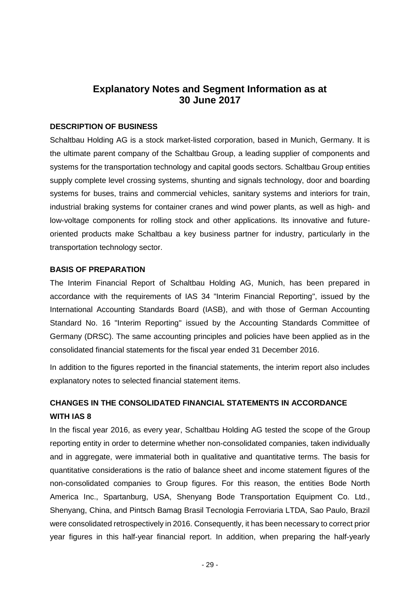# **Explanatory Notes and Segment Information as at 30 June 2017**

### **DESCRIPTION OF BUSINESS**

Schaltbau Holding AG is a stock market-listed corporation, based in Munich, Germany. It is the ultimate parent company of the Schaltbau Group, a leading supplier of components and systems for the transportation technology and capital goods sectors. Schaltbau Group entities supply complete level crossing systems, shunting and signals technology, door and boarding systems for buses, trains and commercial vehicles, sanitary systems and interiors for train, industrial braking systems for container cranes and wind power plants, as well as high- and low-voltage components for rolling stock and other applications. Its innovative and futureoriented products make Schaltbau a key business partner for industry, particularly in the transportation technology sector.

#### **BASIS OF PREPARATION**

The Interim Financial Report of Schaltbau Holding AG, Munich, has been prepared in accordance with the requirements of IAS 34 "Interim Financial Reporting", issued by the International Accounting Standards Board (IASB), and with those of German Accounting Standard No. 16 "Interim Reporting" issued by the Accounting Standards Committee of Germany (DRSC). The same accounting principles and policies have been applied as in the consolidated financial statements for the fiscal year ended 31 December 2016.

In addition to the figures reported in the financial statements, the interim report also includes explanatory notes to selected financial statement items.

# **CHANGES IN THE CONSOLIDATED FINANCIAL STATEMENTS IN ACCORDANCE WITH IAS 8**

In the fiscal year 2016, as every year, Schaltbau Holding AG tested the scope of the Group reporting entity in order to determine whether non-consolidated companies, taken individually and in aggregate, were immaterial both in qualitative and quantitative terms. The basis for quantitative considerations is the ratio of balance sheet and income statement figures of the non-consolidated companies to Group figures. For this reason, the entities Bode North America Inc., Spartanburg, USA, Shenyang Bode Transportation Equipment Co. Ltd., Shenyang, China, and Pintsch Bamag Brasil Tecnologia Ferroviaria LTDA, Sao Paulo, Brazil were consolidated retrospectively in 2016. Consequently, it has been necessary to correct prior year figures in this half-year financial report. In addition, when preparing the half-yearly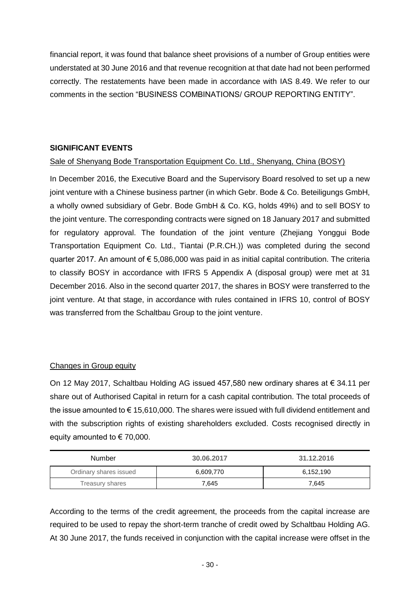financial report, it was found that balance sheet provisions of a number of Group entities were understated at 30 June 2016 and that revenue recognition at that date had not been performed correctly. The restatements have been made in accordance with IAS 8.49. We refer to our comments in the section "BUSINESS COMBINATIONS/ GROUP REPORTING ENTITY".

## **SIGNIFICANT EVENTS**

### Sale of Shenyang Bode Transportation Equipment Co. Ltd., Shenyang, China (BOSY)

In December 2016, the Executive Board and the Supervisory Board resolved to set up a new joint venture with a Chinese business partner (in which Gebr. Bode & Co. Beteiligungs GmbH, a wholly owned subsidiary of Gebr. Bode GmbH & Co. KG, holds 49%) and to sell BOSY to the joint venture. The corresponding contracts were signed on 18 January 2017 and submitted for regulatory approval. The foundation of the joint venture (Zhejiang Yonggui Bode Transportation Equipment Co. Ltd., Tiantai (P.R.CH.)) was completed during the second quarter 2017. An amount of € 5,086,000 was paid in as initial capital contribution. The criteria to classify BOSY in accordance with IFRS 5 Appendix A (disposal group) were met at 31 December 2016. Also in the second quarter 2017, the shares in BOSY were transferred to the joint venture. At that stage, in accordance with rules contained in IFRS 10, control of BOSY was transferred from the Schaltbau Group to the joint venture.

## Changes in Group equity

On 12 May 2017, Schaltbau Holding AG issued 457,580 new ordinary shares at € 34.11 per share out of Authorised Capital in return for a cash capital contribution. The total proceeds of the issue amounted to  $\epsilon$  15,610,000. The shares were issued with full dividend entitlement and with the subscription rights of existing shareholders excluded. Costs recognised directly in equity amounted to  $\epsilon$  70,000.

| Number                 | 30.06.2017 | 31.12.2016 |
|------------------------|------------|------------|
| Ordinary shares issued | 6,609,770  | 6,152,190  |
| Treasury shares        | 7.645      | 7.645      |

According to the terms of the credit agreement, the proceeds from the capital increase are required to be used to repay the short-term tranche of credit owed by Schaltbau Holding AG. At 30 June 2017, the funds received in conjunction with the capital increase were offset in the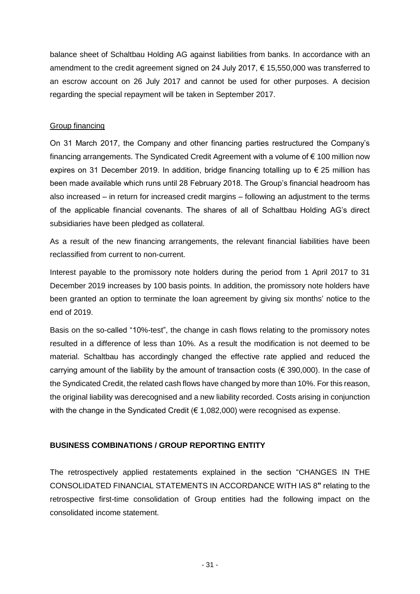balance sheet of Schaltbau Holding AG against liabilities from banks. In accordance with an amendment to the credit agreement signed on 24 July 2017, € 15,550,000 was transferred to an escrow account on 26 July 2017 and cannot be used for other purposes. A decision regarding the special repayment will be taken in September 2017.

### Group financing

On 31 March 2017, the Company and other financing parties restructured the Company's financing arrangements. The Syndicated Credit Agreement with a volume of  $\epsilon$  100 million now expires on 31 December 2019. In addition, bridge financing totalling up to  $\epsilon$  25 million has been made available which runs until 28 February 2018. The Group's financial headroom has also increased – in return for increased credit margins – following an adjustment to the terms of the applicable financial covenants. The shares of all of Schaltbau Holding AG's direct subsidiaries have been pledged as collateral.

As a result of the new financing arrangements, the relevant financial liabilities have been reclassified from current to non-current.

Interest payable to the promissory note holders during the period from 1 April 2017 to 31 December 2019 increases by 100 basis points. In addition, the promissory note holders have been granted an option to terminate the loan agreement by giving six months' notice to the end of 2019.

Basis on the so-called "10%-test", the change in cash flows relating to the promissory notes resulted in a difference of less than 10%. As a result the modification is not deemed to be material. Schaltbau has accordingly changed the effective rate applied and reduced the carrying amount of the liability by the amount of transaction costs ( $\epsilon$  390,000). In the case of the Syndicated Credit, the related cash flows have changed by more than 10%. For this reason, the original liability was derecognised and a new liability recorded. Costs arising in conjunction with the change in the Syndicated Credit ( $\epsilon$  1,082,000) were recognised as expense.

## **BUSINESS COMBINATIONS / GROUP REPORTING ENTITY**

The retrospectively applied restatements explained in the section "CHANGES IN THE CONSOLIDATED FINANCIAL STATEMENTS IN ACCORDANCE WITH IAS 8**"** relating to the retrospective first-time consolidation of Group entities had the following impact on the consolidated income statement.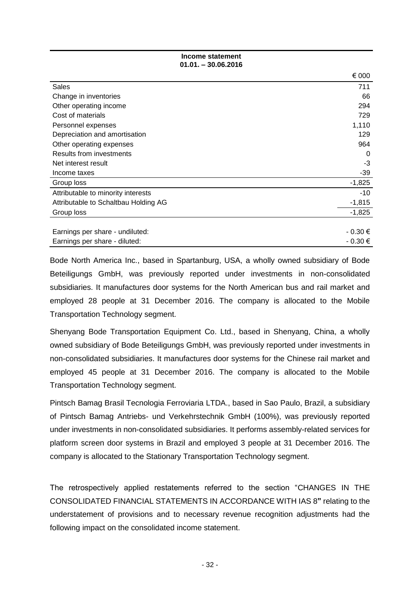**Income statement 01.01. – 30.06.2016**

|                                      | € 000       |
|--------------------------------------|-------------|
| Sales                                | 711         |
| Change in inventories                | 66          |
| Other operating income               | 294         |
| Cost of materials                    | 729         |
| Personnel expenses                   | 1,110       |
| Depreciation and amortisation        | 129         |
| Other operating expenses             | 964         |
| Results from investments             | 0           |
| Net interest result                  | -3          |
| Income taxes                         | -39         |
| Group loss                           | $-1,825$    |
| Attributable to minority interests   | $-10$       |
| Attributable to Schaltbau Holding AG | $-1,815$    |
| Group loss                           | $-1,825$    |
|                                      |             |
| Earnings per share - undiluted:      | $-0.30 \in$ |
| Earnings per share - diluted:        | $-0.30 \in$ |

Bode North America Inc., based in Spartanburg, USA, a wholly owned subsidiary of Bode Beteiligungs GmbH, was previously reported under investments in non-consolidated subsidiaries. It manufactures door systems for the North American bus and rail market and employed 28 people at 31 December 2016. The company is allocated to the Mobile Transportation Technology segment.

Shenyang Bode Transportation Equipment Co. Ltd., based in Shenyang, China, a wholly owned subsidiary of Bode Beteiligungs GmbH, was previously reported under investments in non-consolidated subsidiaries. It manufactures door systems for the Chinese rail market and employed 45 people at 31 December 2016. The company is allocated to the Mobile Transportation Technology segment.

Pintsch Bamag Brasil Tecnologia Ferroviaria LTDA., based in Sao Paulo, Brazil, a subsidiary of Pintsch Bamag Antriebs- und Verkehrstechnik GmbH (100%), was previously reported under investments in non-consolidated subsidiaries. It performs assembly-related services for platform screen door systems in Brazil and employed 3 people at 31 December 2016. The company is allocated to the Stationary Transportation Technology segment.

The retrospectively applied restatements referred to the section "CHANGES IN THE CONSOLIDATED FINANCIAL STATEMENTS IN ACCORDANCE WITH IAS 8**"** relating to the understatement of provisions and to necessary revenue recognition adjustments had the following impact on the consolidated income statement.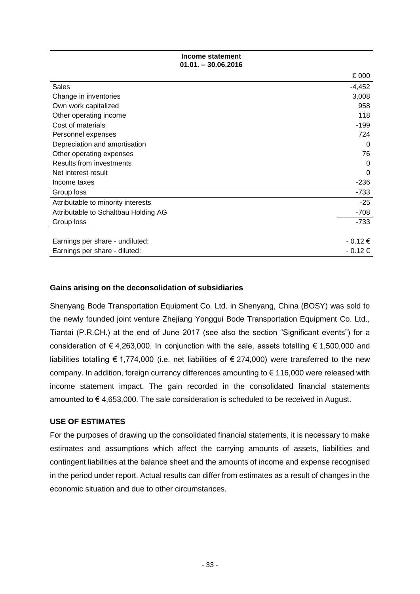**Income statement 01.01. – 30.06.2016**

|                                      | € 000    |
|--------------------------------------|----------|
| <b>Sales</b>                         | $-4,452$ |
| Change in inventories                | 3,008    |
| Own work capitalized                 | 958      |
| Other operating income               | 118      |
| Cost of materials                    | $-199$   |
| Personnel expenses                   | 724      |
| Depreciation and amortisation        | 0        |
| Other operating expenses             | 76       |
| <b>Results from investments</b>      | 0        |
| Net interest result                  | $\Omega$ |
| Income taxes                         | $-236$   |
| Group loss                           | $-733$   |
| Attributable to minority interests   | $-25$    |
| Attributable to Schaltbau Holding AG | $-708$   |
| Group loss                           | $-733$   |
|                                      |          |
| Earnings per share - undiluted:      | $-0.12€$ |
| Earnings per share - diluted:        | $-0.12€$ |

#### **Gains arising on the deconsolidation of subsidiaries**

Shenyang Bode Transportation Equipment Co. Ltd. in Shenyang, China (BOSY) was sold to the newly founded joint venture Zhejiang Yonggui Bode Transportation Equipment Co. Ltd., Tiantai (P.R.CH.) at the end of June 2017 (see also the section "Significant events") for a consideration of  $\epsilon$  4,263,000. In conjunction with the sale, assets totalling  $\epsilon$  1,500,000 and liabilities totalling € 1,774,000 (i.e. net liabilities of € 274,000) were transferred to the new company. In addition, foreign currency differences amounting to € 116,000 were released with income statement impact. The gain recorded in the consolidated financial statements amounted to  $\epsilon$  4,653,000. The sale consideration is scheduled to be received in August.

#### **USE OF ESTIMATES**

For the purposes of drawing up the consolidated financial statements, it is necessary to make estimates and assumptions which affect the carrying amounts of assets, liabilities and contingent liabilities at the balance sheet and the amounts of income and expense recognised in the period under report. Actual results can differ from estimates as a result of changes in the economic situation and due to other circumstances.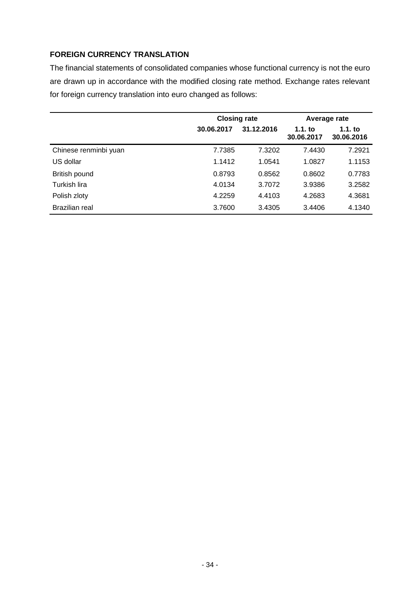## **FOREIGN CURRENCY TRANSLATION**

The financial statements of consolidated companies whose functional currency is not the euro are drawn up in accordance with the modified closing rate method. Exchange rates relevant for foreign currency translation into euro changed as follows:

|                       | <b>Closing rate</b> |            | Average rate        |                         |
|-----------------------|---------------------|------------|---------------------|-------------------------|
|                       | 30.06.2017          | 31.12.2016 | 1.1.1<br>30.06.2017 | $1.1.$ to<br>30.06.2016 |
| Chinese renminbi yuan | 7.7385              | 7.3202     | 7.4430              | 7.2921                  |
| US dollar             | 1.1412              | 1.0541     | 1.0827              | 1.1153                  |
| British pound         | 0.8793              | 0.8562     | 0.8602              | 0.7783                  |
| Turkish lira          | 4.0134              | 3.7072     | 3.9386              | 3.2582                  |
| Polish zloty          | 4.2259              | 4.4103     | 4.2683              | 4.3681                  |
| Brazilian real        | 3.7600              | 3.4305     | 3.4406              | 4.1340                  |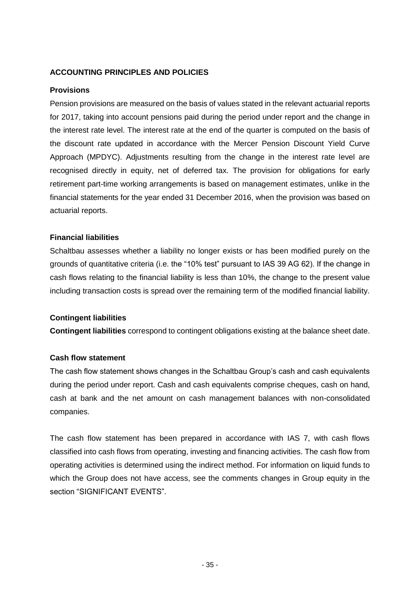## **ACCOUNTING PRINCIPLES AND POLICIES**

#### **Provisions**

Pension provisions are measured on the basis of values stated in the relevant actuarial reports for 2017, taking into account pensions paid during the period under report and the change in the interest rate level. The interest rate at the end of the quarter is computed on the basis of the discount rate updated in accordance with the Mercer Pension Discount Yield Curve Approach (MPDYC). Adjustments resulting from the change in the interest rate level are recognised directly in equity, net of deferred tax. The provision for obligations for early retirement part-time working arrangements is based on management estimates, unlike in the financial statements for the year ended 31 December 2016, when the provision was based on actuarial reports.

#### **Financial liabilities**

Schaltbau assesses whether a liability no longer exists or has been modified purely on the grounds of quantitative criteria (i.e. the "10% test" pursuant to IAS 39 AG 62). If the change in cash flows relating to the financial liability is less than 10%, the change to the present value including transaction costs is spread over the remaining term of the modified financial liability.

#### **Contingent liabilities**

**Contingent liabilities** correspond to contingent obligations existing at the balance sheet date.

#### **Cash flow statement**

The cash flow statement shows changes in the Schaltbau Group's cash and cash equivalents during the period under report. Cash and cash equivalents comprise cheques, cash on hand, cash at bank and the net amount on cash management balances with non-consolidated companies.

The cash flow statement has been prepared in accordance with IAS 7, with cash flows classified into cash flows from operating, investing and financing activities. The cash flow from operating activities is determined using the indirect method. For information on liquid funds to which the Group does not have access, see the comments changes in Group equity in the section "SIGNIFICANT EVENTS".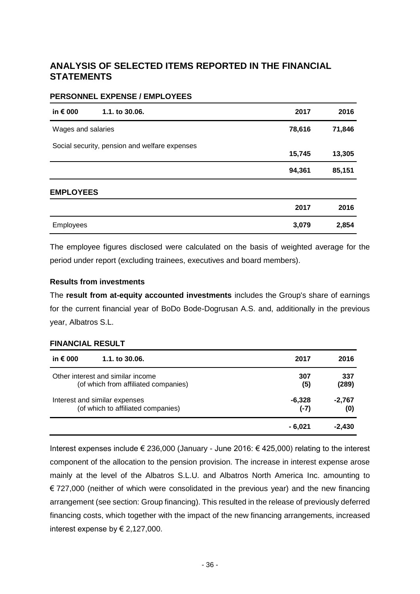# **ANALYSIS OF SELECTED ITEMS REPORTED IN THE FINANCIAL STATEMENTS**

#### **PERSONNEL EXPENSE / EMPLOYEES**

| in € 000           | 1.1. to 30.06.                                | 2017   | 2016   |
|--------------------|-----------------------------------------------|--------|--------|
| Wages and salaries |                                               | 78,616 | 71,846 |
|                    | Social security, pension and welfare expenses | 15,745 | 13,305 |
|                    |                                               | 94,361 | 85,151 |
| <b>EMPLOYEES</b>   |                                               |        |        |
|                    |                                               | 2017   | 2016   |
| <b>Employees</b>   |                                               | 3,079  | 2,854  |

The employee figures disclosed were calculated on the basis of weighted average for the period under report (excluding trainees, executives and board members).

### **Results from investments**

The **result from at-equity accounted investments** includes the Group's share of earnings for the current financial year of BoDo Bode-Dogrusan A.S. and, additionally in the previous year, Albatros S.L.

#### **FINANCIAL RESULT**

| in € 000<br>1.1. to 30.06.           | 2017    | 2016     |
|--------------------------------------|---------|----------|
| Other interest and similar income    | 307     | 337      |
| (of which from affiliated companies) | (5)     | (289)    |
| Interest and similar expenses        | -6,328  | -2,767   |
| (of which to affiliated companies)   | $(-7)$  | (0)      |
|                                      | - 6.021 | $-2,430$ |

Interest expenses include € 236,000 (January - June 2016: € 425,000) relating to the interest component of the allocation to the pension provision. The increase in interest expense arose mainly at the level of the Albatros S.L.U. and Albatros North America Inc. amounting to € 727,000 (neither of which were consolidated in the previous year) and the new financing arrangement (see section: Group financing). This resulted in the release of previously deferred financing costs, which together with the impact of the new financing arrangements, increased interest expense by  $\in$  2,127,000.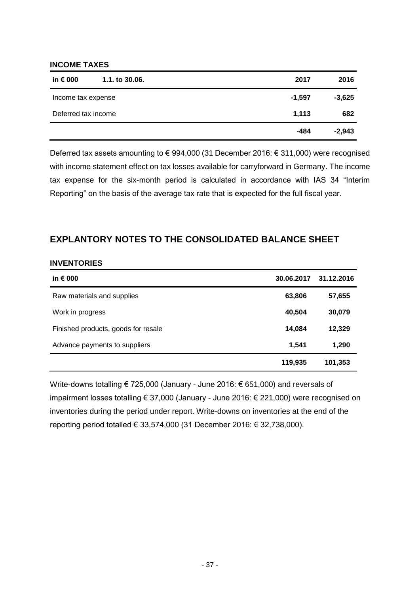#### **INCOME TAXES**

| in $\epsilon$ 000   | 1.1. to 30.06. | 2017     | 2016     |
|---------------------|----------------|----------|----------|
| Income tax expense  |                | $-1,597$ | $-3,625$ |
| Deferred tax income |                | 1,113    | 682      |
|                     |                | -484     | $-2,943$ |

Deferred tax assets amounting to € 994,000 (31 December 2016: € 311,000) were recognised with income statement effect on tax losses available for carryforward in Germany. The income tax expense for the six-month period is calculated in accordance with IAS 34 "Interim Reporting" on the basis of the average tax rate that is expected for the full fiscal year.

## **EXPLANTORY NOTES TO THE CONSOLIDATED BALANCE SHEET**

#### **INVENTORIES**

| in $\epsilon$ 000                   | 30.06.2017 | 31.12.2016 |
|-------------------------------------|------------|------------|
| Raw materials and supplies          | 63,806     | 57,655     |
| Work in progress                    | 40,504     | 30,079     |
| Finished products, goods for resale | 14,084     | 12,329     |
| Advance payments to suppliers       | 1,541      | 1,290      |
|                                     | 119,935    | 101,353    |

Write-downs totalling € 725,000 (January - June 2016: € 651,000) and reversals of impairment losses totalling € 37,000 (January - June 2016: € 221,000) were recognised on inventories during the period under report. Write-downs on inventories at the end of the reporting period totalled € 33,574,000 (31 December 2016: € 32,738,000).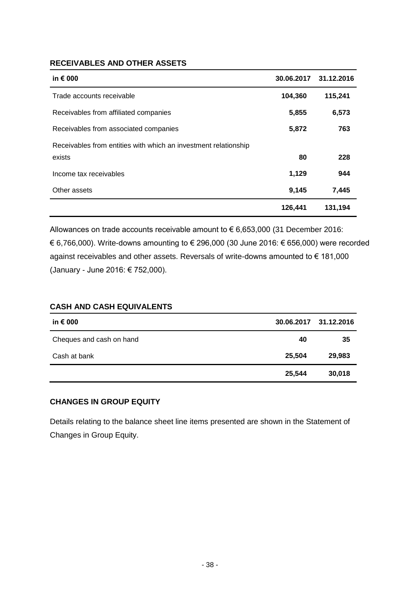## **RECEIVABLES AND OTHER ASSETS**

| in $\epsilon$ 000                                               | 30.06.2017 | 31.12.2016 |
|-----------------------------------------------------------------|------------|------------|
| Trade accounts receivable                                       | 104,360    | 115,241    |
| Receivables from affiliated companies                           | 5,855      | 6,573      |
| Receivables from associated companies                           | 5,872      | 763        |
| Receivables from entities with which an investment relationship |            |            |
| exists                                                          | 80         | 228        |
| Income tax receivables                                          | 1,129      | 944        |
| Other assets                                                    | 9,145      | 7,445      |
|                                                                 | 126,441    | 131,194    |

Allowances on trade accounts receivable amount to € 6,653,000 (31 December 2016: € 6,766,000). Write-downs amounting to € 296,000 (30 June 2016: € 656,000) were recorded against receivables and other assets. Reversals of write-downs amounted to € 181,000 (January - June 2016: € 752,000).

### **CASH AND CASH EQUIVALENTS**

| in € 000                 |        | 30.06.2017 31.12.2016 |
|--------------------------|--------|-----------------------|
| Cheques and cash on hand | 40     | 35                    |
| Cash at bank             | 25,504 | 29,983                |
|                          | 25,544 | 30,018                |

### **CHANGES IN GROUP EQUITY**

Details relating to the balance sheet line items presented are shown in the Statement of Changes in Group Equity.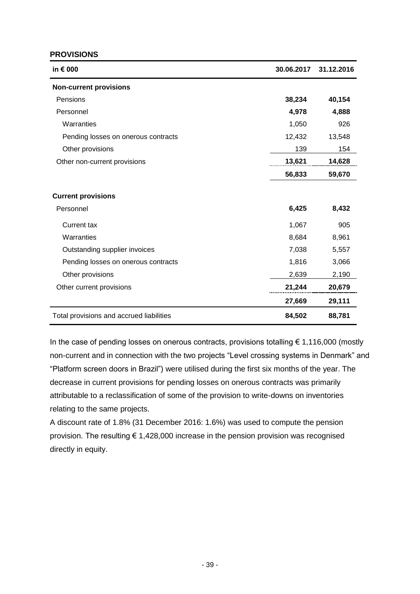#### **PROVISIONS**

| in € 000                                 | 30.06.2017 | 31.12.2016 |
|------------------------------------------|------------|------------|
| <b>Non-current provisions</b>            |            |            |
| Pensions                                 | 38,234     | 40,154     |
| Personnel                                | 4,978      | 4,888      |
| Warranties                               | 1,050      | 926        |
| Pending losses on onerous contracts      | 12,432     | 13,548     |
| Other provisions                         | 139        | 154        |
| Other non-current provisions             | 13,621     | 14,628     |
|                                          | 56,833     | 59,670     |
| <b>Current provisions</b>                |            |            |
| Personnel                                | 6,425      | 8,432      |
| <b>Current tax</b>                       | 1,067      | 905        |
| Warranties                               | 8,684      | 8,961      |
| Outstanding supplier invoices            | 7,038      | 5,557      |
| Pending losses on onerous contracts      | 1,816      | 3,066      |
| Other provisions                         | 2,639      | 2,190      |
| Other current provisions                 | 21,244     | 20,679     |
|                                          | 27,669     | 29,111     |
| Total provisions and accrued liabilities | 84,502     | 88,781     |

In the case of pending losses on onerous contracts, provisions totalling  $\epsilon$  1,116,000 (mostly non-current and in connection with the two projects "Level crossing systems in Denmark" and "Platform screen doors in Brazil") were utilised during the first six months of the year. The decrease in current provisions for pending losses on onerous contracts was primarily attributable to a reclassification of some of the provision to write-downs on inventories relating to the same projects.

A discount rate of 1.8% (31 December 2016: 1.6%) was used to compute the pension provision. The resulting  $\epsilon$  1,428,000 increase in the pension provision was recognised directly in equity.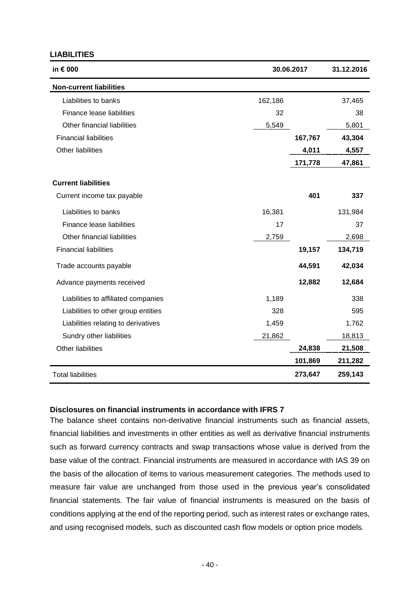#### **LIABILITIES**

| in € 000                            |         | 30.06.2017 | 31.12.2016 |
|-------------------------------------|---------|------------|------------|
| <b>Non-current liabilities</b>      |         |            |            |
| Liabilities to banks                | 162,186 |            | 37,465     |
| Finance lease liabilities           | 32      |            | 38         |
| Other financial liabilities         | 5,549   |            | 5,801      |
| <b>Financial liabilities</b>        |         | 167,767    | 43,304     |
| <b>Other liabilities</b>            |         | 4,011      | 4,557      |
|                                     |         | 171,778    | 47,861     |
| <b>Current liabilities</b>          |         |            |            |
| Current income tax payable          |         | 401        | 337        |
| Liabilities to banks                | 16,381  |            | 131,984    |
| Finance lease liabilities           | 17      |            | 37         |
| Other financial liabilities         | 2,759   |            | 2,698      |
| <b>Financial liabilities</b>        |         | 19,157     | 134,719    |
| Trade accounts payable              |         | 44,591     | 42,034     |
| Advance payments received           |         | 12,882     | 12,684     |
| Liabilities to affiliated companies | 1,189   |            | 338        |
| Liabilities to other group entities | 328     |            | 595        |
| Liabilities relating to derivatives | 1,459   |            | 1,762      |
| Sundry other liabilities            | 21,862  |            | 18,813     |
| <b>Other liabilities</b>            |         | 24,838     | 21,508     |
|                                     |         | 101,869    | 211,282    |
| <b>Total liabilities</b>            |         | 273,647    | 259,143    |

#### **Disclosures on financial instruments in accordance with IFRS 7**

The balance sheet contains non-derivative financial instruments such as financial assets, financial liabilities and investments in other entities as well as derivative financial instruments such as forward currency contracts and swap transactions whose value is derived from the base value of the contract. Financial instruments are measured in accordance with IAS 39 on the basis of the allocation of items to various measurement categories. The methods used to measure fair value are unchanged from those used in the previous year's consolidated financial statements. The fair value of financial instruments is measured on the basis of conditions applying at the end of the reporting period, such as interest rates or exchange rates, and using recognised models, such as discounted cash flow models or option price models.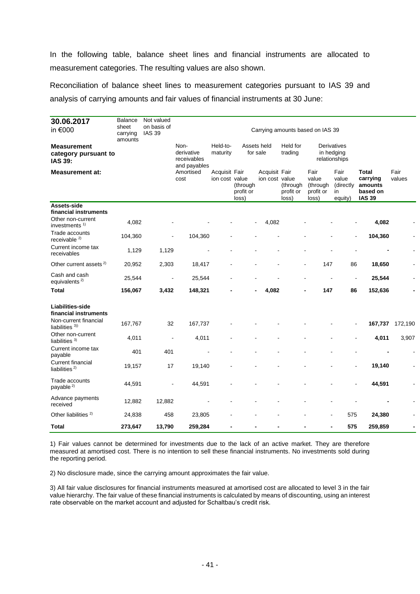In the following table, balance sheet lines and financial instruments are allocated to measurement categories. The resulting values are also shown.

Reconciliation of balance sheet lines to measurement categories pursuant to IAS 39 and analysis of carrying amounts and fair values of financial instruments at 30 June:

| 30.06.2017<br>in €000                                         | <b>Balance</b><br>sheet<br>carrying<br>amounts | Not valued<br>on basis of<br><b>IAS 39</b> |                                                   | Carrying amounts based on IAS 39 |                                |                                 |                                |                                                 |                                             |                                                                  |                |
|---------------------------------------------------------------|------------------------------------------------|--------------------------------------------|---------------------------------------------------|----------------------------------|--------------------------------|---------------------------------|--------------------------------|-------------------------------------------------|---------------------------------------------|------------------------------------------------------------------|----------------|
| <b>Measurement</b><br>category pursuant to<br><b>IAS 39:</b>  |                                                |                                            | Non-<br>derivative<br>receivables<br>and payables | Held-to-<br>maturity             |                                | Assets held<br>for sale         | Held for<br>trading            |                                                 | Derivatives<br>in hedging<br>relationships  |                                                                  |                |
| <b>Measurement at:</b>                                        |                                                |                                            | Amortised<br>cost                                 | Acquisit Fair<br>ion cost value  | (through<br>profit or<br>loss) | Acquisit Fair<br>ion cost value | (through<br>profit or<br>loss) | Fair<br>value<br>(through<br>profit or<br>loss) | Fair<br>value<br>(directly<br>in<br>equity) | <b>Total</b><br>carrying<br>amounts<br>based on<br><b>IAS 39</b> | Fair<br>values |
| Assets-side                                                   |                                                |                                            |                                                   |                                  |                                |                                 |                                |                                                 |                                             |                                                                  |                |
| financial instruments<br>Other non-current<br>investments $1$ | 4,082                                          |                                            |                                                   |                                  |                                | 4,082                           |                                |                                                 |                                             | 4,082                                                            |                |
| Trade accounts<br>receivable <sup>2)</sup>                    | 104,360                                        |                                            | 104,360                                           |                                  |                                |                                 |                                |                                                 | ÷,                                          | 104,360                                                          |                |
| Current income tax<br>receivables                             | 1,129                                          | 1,129                                      |                                                   |                                  |                                |                                 |                                |                                                 |                                             |                                                                  |                |
| Other current assets <sup>2)</sup>                            | 20,952                                         | 2,303                                      | 18,417                                            |                                  |                                |                                 |                                | 147                                             | 86                                          | 18,650                                                           |                |
| Cash and cash<br>equivalents <sup>2)</sup>                    | 25,544                                         |                                            | 25,544                                            |                                  |                                |                                 |                                |                                                 | ÷,                                          | 25,544                                                           |                |
| <b>Total</b>                                                  | 156,067                                        | 3,432                                      | 148,321                                           |                                  |                                | 4,082                           |                                | 147                                             | 86                                          | 152,636                                                          |                |
| Liabilities-side<br>financial instruments                     |                                                |                                            |                                                   |                                  |                                |                                 |                                |                                                 |                                             |                                                                  |                |
| Non-current financial<br>liabilities $3)$                     | 167,767                                        | 32                                         | 167,737                                           |                                  |                                |                                 |                                |                                                 |                                             | 167,737                                                          | 172,190        |
| Other non-current<br>liabilities $3$                          | 4,011                                          | ÷,                                         | 4,011                                             |                                  |                                |                                 |                                |                                                 | L,                                          | 4,011                                                            | 3,907          |
| Current income tax<br>payable                                 | 401                                            | 401                                        |                                                   |                                  |                                |                                 |                                |                                                 |                                             |                                                                  |                |
| <b>Current financial</b><br>liabilities $^{2)}$               | 19,157                                         | 17                                         | 19,140                                            |                                  |                                |                                 |                                |                                                 |                                             | 19,140                                                           |                |
| Trade accounts<br>payable <sup>2)</sup>                       | 44,591                                         |                                            | 44,591                                            |                                  |                                |                                 |                                |                                                 |                                             | 44,591                                                           |                |
| Advance payments<br>received                                  | 12,882                                         | 12,882                                     |                                                   |                                  |                                |                                 |                                |                                                 |                                             |                                                                  |                |
| Other liabilities <sup>2)</sup>                               | 24,838                                         | 458                                        | 23,805                                            |                                  |                                |                                 |                                |                                                 | 575                                         | 24,380                                                           |                |
| <b>Total</b>                                                  | 273,647                                        | 13,790                                     | 259,284                                           |                                  |                                |                                 |                                |                                                 | 575                                         | 259,859                                                          |                |

1) Fair values cannot be determined for investments due to the lack of an active market. They are therefore measured at amortised cost. There is no intention to sell these financial instruments. No investments sold during the reporting period.

2) No disclosure made, since the carrying amount approximates the fair value.

3) All fair value disclosures for financial instruments measured at amortised cost are allocated to level 3 in the fair value hierarchy. The fair value of these financial instruments is calculated by means of discounting, using an interest rate observable on the market account and adjusted for Schaltbau's credit risk.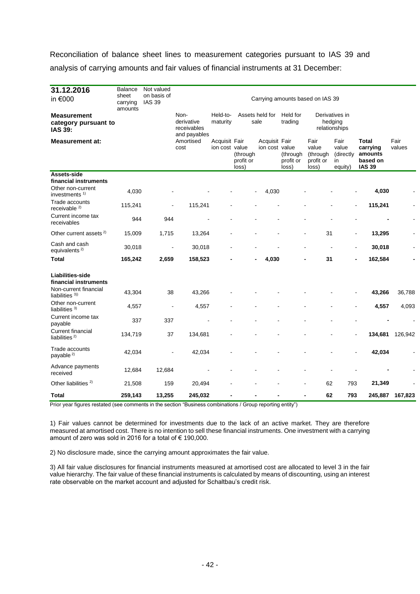Reconciliation of balance sheet lines to measurement categories pursuant to IAS 39 and analysis of carrying amounts and fair values of financial instruments at 31 December:

| 31.12.2016<br>in €000                                              | <b>Balance</b><br>sheet<br>carrying<br>amounts | Not valued<br>on basis of<br><b>IAS 39</b> | Carrying amounts based on IAS 39                  |                                 |                                |                                 |                                |                                                 |                                             |                                                                  |                |
|--------------------------------------------------------------------|------------------------------------------------|--------------------------------------------|---------------------------------------------------|---------------------------------|--------------------------------|---------------------------------|--------------------------------|-------------------------------------------------|---------------------------------------------|------------------------------------------------------------------|----------------|
| <b>Measurement</b><br>category pursuant to<br><b>IAS 39:</b>       |                                                |                                            | Non-<br>derivative<br>receivables<br>and payables | Held-to-<br>maturity            |                                | Assets held for<br>sale         | Held for<br>trading            |                                                 | Derivatives in<br>hedging<br>relationships  |                                                                  |                |
| <b>Measurement at:</b>                                             |                                                |                                            | Amortised<br>cost                                 | Acquisit Fair<br>ion cost value | (through<br>profit or<br>loss) | Acquisit Fair<br>ion cost value | (through<br>profit or<br>loss) | Fair<br>value<br>(through<br>profit or<br>loss) | Fair<br>value<br>(directly<br>in<br>equity) | <b>Total</b><br>carrying<br>amounts<br>based on<br><b>IAS 39</b> | Fair<br>values |
| Assets-side<br>financial instruments                               |                                                |                                            |                                                   |                                 |                                |                                 |                                |                                                 |                                             |                                                                  |                |
| Other non-current<br>investments $1$                               | 4,030                                          |                                            |                                                   |                                 |                                | 4,030                           |                                |                                                 |                                             | 4,030                                                            |                |
| Trade accounts<br>receivable $2)$                                  | 115,241                                        |                                            | 115,241                                           |                                 |                                |                                 |                                |                                                 | $\overline{a}$                              | 115,241                                                          |                |
| Current income tax<br>receivables                                  | 944                                            | 944                                        |                                                   |                                 |                                |                                 |                                |                                                 |                                             |                                                                  |                |
| Other current assets <sup>2)</sup>                                 | 15,009                                         | 1,715                                      | 13,264                                            |                                 |                                |                                 |                                | 31                                              | $\blacksquare$                              | 13,295                                                           |                |
| Cash and cash<br>equivalents <sup>2)</sup>                         | 30,018                                         | ä,                                         | 30,018                                            |                                 |                                |                                 |                                |                                                 | L,                                          | 30,018                                                           |                |
| <b>Total</b>                                                       | 165,242                                        | 2,659                                      | 158,523                                           |                                 |                                | 4,030                           |                                | 31                                              |                                             | 162,584                                                          |                |
| Liabilities-side<br>financial instruments<br>Non-current financial |                                                |                                            |                                                   |                                 |                                |                                 |                                |                                                 |                                             |                                                                  |                |
| liabilities $3)$                                                   | 43,304                                         | 38                                         | 43,266                                            |                                 |                                |                                 |                                |                                                 |                                             | 43,266                                                           | 36,788         |
| Other non-current<br>liabilities $3$                               | 4,557                                          | ÷,                                         | 4,557                                             |                                 |                                |                                 |                                |                                                 |                                             | 4,557                                                            | 4,093          |
| Current income tax<br>payable                                      | 337                                            | 337                                        |                                                   |                                 |                                |                                 |                                |                                                 |                                             |                                                                  |                |
| <b>Current financial</b><br>liabilities $^{2)}$                    | 134,719                                        | 37                                         | 134,681                                           |                                 |                                |                                 |                                |                                                 |                                             | 134,681                                                          | 126,942        |
| Trade accounts<br>payable $^{2)}$                                  | 42,034                                         |                                            | 42,034                                            |                                 |                                |                                 |                                |                                                 |                                             | 42,034                                                           |                |
| Advance payments<br>received                                       | 12,684                                         | 12,684                                     |                                                   |                                 |                                |                                 |                                |                                                 |                                             |                                                                  |                |
| Other liabilities <sup>2)</sup>                                    | 21,508                                         | 159                                        | 20,494                                            |                                 |                                |                                 |                                | 62                                              | 793                                         | 21,349                                                           |                |
| Total                                                              | 259,143                                        | 13,255                                     | 245,032                                           |                                 |                                |                                 |                                | 62                                              | 793                                         | 245,887                                                          | 167,823        |

Prior year figures restated (see comments in the section "Business combinations / Group reporting entity")

1) Fair values cannot be determined for investments due to the lack of an active market. They are therefore measured at amortised cost. There is no intention to sell these financial instruments. One investment with a carrying amount of zero was sold in 2016 for a total of € 190,000.

2) No disclosure made, since the carrying amount approximates the fair value.

3) All fair value disclosures for financial instruments measured at amortised cost are allocated to level 3 in the fair value hierarchy. The fair value of these financial instruments is calculated by means of discounting, using an interest rate observable on the market account and adjusted for Schaltbau's credit risk.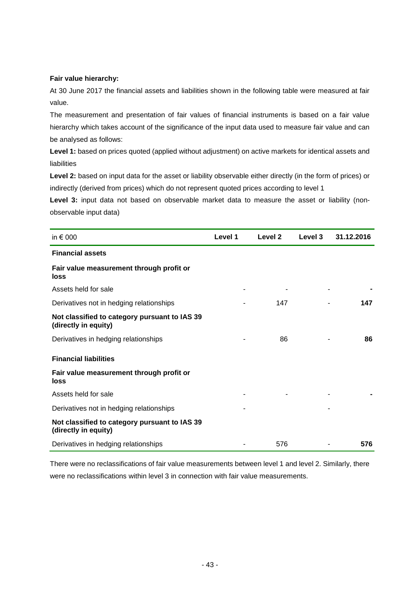#### **Fair value hierarchy:**

At 30 June 2017 the financial assets and liabilities shown in the following table were measured at fair value.

The measurement and presentation of fair values of financial instruments is based on a fair value hierarchy which takes account of the significance of the input data used to measure fair value and can be analysed as follows:

Level 1: based on prices quoted (applied without adjustment) on active markets for identical assets and liabilities

**Level 2:** based on input data for the asset or liability observable either directly (in the form of prices) or indirectly (derived from prices) which do not represent quoted prices according to level 1

Level 3: input data not based on observable market data to measure the asset or liability (nonobservable input data)

| in $\epsilon$ 000                                                     | Level 1 | Level 2 | Level 3 | 31.12.2016 |
|-----------------------------------------------------------------------|---------|---------|---------|------------|
| <b>Financial assets</b>                                               |         |         |         |            |
| Fair value measurement through profit or<br>loss                      |         |         |         |            |
| Assets held for sale                                                  |         |         |         |            |
| Derivatives not in hedging relationships                              |         | 147     |         | 147        |
| Not classified to category pursuant to IAS 39<br>(directly in equity) |         |         |         |            |
| Derivatives in hedging relationships                                  |         | 86      |         | 86         |
| <b>Financial liabilities</b>                                          |         |         |         |            |
| Fair value measurement through profit or<br>loss                      |         |         |         |            |
| Assets held for sale                                                  |         |         |         |            |
| Derivatives not in hedging relationships                              |         |         | ٠       |            |
| Not classified to category pursuant to IAS 39<br>(directly in equity) |         |         |         |            |
| Derivatives in hedging relationships                                  |         | 576     |         | 576        |

There were no reclassifications of fair value measurements between level 1 and level 2. Similarly, there were no reclassifications within level 3 in connection with fair value measurements.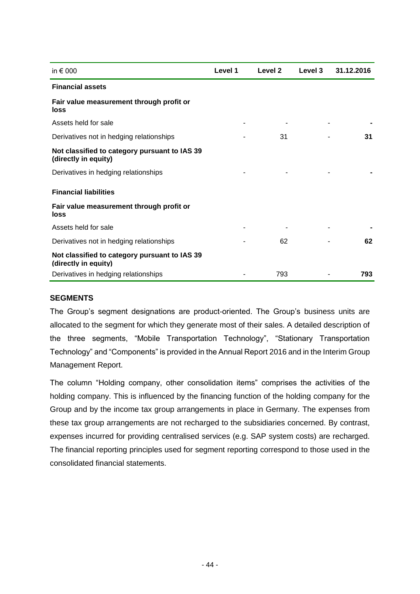| in $\epsilon$ 000                                                     | Level 1 | Level 2 | <b>Level 3</b> | 31.12.2016 |
|-----------------------------------------------------------------------|---------|---------|----------------|------------|
| <b>Financial assets</b>                                               |         |         |                |            |
| Fair value measurement through profit or<br>loss                      |         |         |                |            |
| Assets held for sale                                                  |         |         |                |            |
| Derivatives not in hedging relationships                              |         | 31      |                | 31         |
| Not classified to category pursuant to IAS 39<br>(directly in equity) |         |         |                |            |
| Derivatives in hedging relationships                                  |         |         |                |            |
| <b>Financial liabilities</b>                                          |         |         |                |            |
| Fair value measurement through profit or<br>loss                      |         |         |                |            |
| Assets held for sale                                                  |         |         |                |            |
| Derivatives not in hedging relationships                              |         | 62      |                | 62         |
| Not classified to category pursuant to IAS 39<br>(directly in equity) |         |         |                |            |
| Derivatives in hedging relationships                                  |         | 793     |                | 793        |

#### **SEGMENTS**

The Group's segment designations are product-oriented. The Group's business units are allocated to the segment for which they generate most of their sales. A detailed description of the three segments, "Mobile Transportation Technology", "Stationary Transportation Technology" and "Components" is provided in the Annual Report 2016 and in the Interim Group Management Report.

The column "Holding company, other consolidation items" comprises the activities of the holding company. This is influenced by the financing function of the holding company for the Group and by the income tax group arrangements in place in Germany. The expenses from these tax group arrangements are not recharged to the subsidiaries concerned. By contrast, expenses incurred for providing centralised services (e.g. SAP system costs) are recharged. The financial reporting principles used for segment reporting correspond to those used in the consolidated financial statements.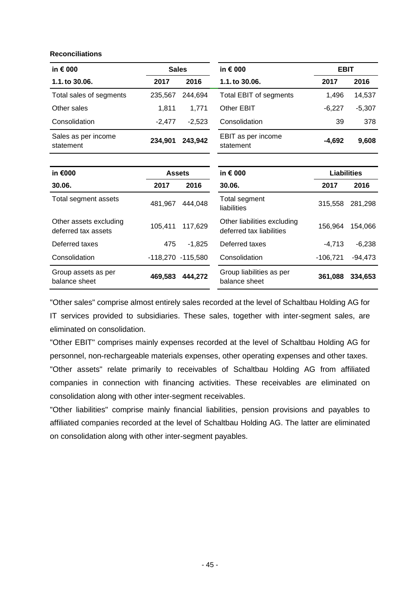#### **Reconciliations**

| in $\epsilon$ 000                             |               | <b>Sales</b>      | in € 000                                                | <b>EBIT</b>        |           |  |
|-----------------------------------------------|---------------|-------------------|---------------------------------------------------------|--------------------|-----------|--|
| 1.1. to 30.06.                                | 2017          | 2016              | 1.1. to 30.06.                                          | 2017               | 2016      |  |
| Total sales of segments                       | 235,567       | 244,694           | <b>Total EBIT of segments</b>                           | 1,496              | 14,537    |  |
| Other sales                                   | 1,811         | 1,771             | Other EBIT                                              | $-6,227$           | $-5,307$  |  |
| Consolidation                                 | $-2,477$      | $-2,523$          | Consolidation                                           | 39                 | 378       |  |
| Sales as per income<br>statement              | 234,901       | 243,942           | EBIT as per income<br>statement                         | $-4,692$           | 9,608     |  |
|                                               |               |                   |                                                         |                    |           |  |
| in €000                                       | <b>Assets</b> |                   | in € 000                                                | <b>Liabilities</b> |           |  |
| 30.06.                                        | 2017          | 2016              | 30.06.                                                  | 2017               | 2016      |  |
| Total segment assets                          | 481,967       | 444,048           | Total segment<br>liabilities                            | 315,558            | 281,298   |  |
| Other assets excluding<br>deferred tax assets | 105,411       | 117,629           | Other liabilities excluding<br>deferred tax liabilities | 156,964            | 154,066   |  |
| Deferred taxes                                | 475           | $-1,825$          | Deferred taxes                                          | $-4,713$           | $-6,238$  |  |
| Consolidation                                 |               | -118,270 -115,580 | Consolidation                                           | $-106,721$         | $-94,473$ |  |
| Group assets as per<br>balance sheet          | 469,583       | 444,272           | Group liabilities as per<br>balance sheet               | 361,088            | 334,653   |  |

"Other sales" comprise almost entirely sales recorded at the level of Schaltbau Holding AG for IT services provided to subsidiaries. These sales, together with inter-segment sales, are eliminated on consolidation.

"Other EBIT" comprises mainly expenses recorded at the level of Schaltbau Holding AG for personnel, non-rechargeable materials expenses, other operating expenses and other taxes.

"Other assets" relate primarily to receivables of Schaltbau Holding AG from affiliated companies in connection with financing activities. These receivables are eliminated on consolidation along with other inter-segment receivables.

"Other liabilities" comprise mainly financial liabilities, pension provisions and payables to affiliated companies recorded at the level of Schaltbau Holding AG. The latter are eliminated on consolidation along with other inter-segment payables.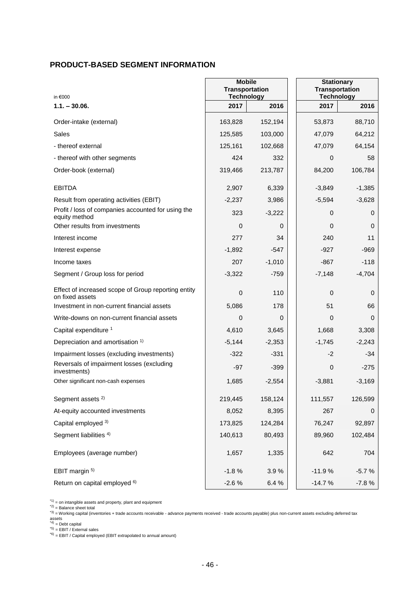### **PRODUCT-BASED SEGMENT INFORMATION**

| in €000                                                                | <b>Mobile</b><br><b>Transportation</b><br><b>Technology</b> |          | <b>Stationary</b><br><b>Transportation</b><br><b>Technology</b> |          |  |  |
|------------------------------------------------------------------------|-------------------------------------------------------------|----------|-----------------------------------------------------------------|----------|--|--|
| $1.1 - 30.06$ .                                                        | 2017                                                        | 2016     | 2017                                                            | 2016     |  |  |
| Order-intake (external)                                                | 163,828                                                     | 152,194  | 53,873                                                          | 88,710   |  |  |
| Sales                                                                  | 125,585                                                     | 103,000  | 47,079                                                          | 64,212   |  |  |
| - thereof external                                                     | 125,161                                                     | 102,668  | 47,079                                                          | 64,154   |  |  |
| - thereof with other segments                                          | 424                                                         | 332      | 0                                                               | 58       |  |  |
| Order-book (external)                                                  | 319,466                                                     | 213,787  | 84,200                                                          | 106,784  |  |  |
| <b>EBITDA</b>                                                          | 2,907                                                       | 6,339    | $-3,849$                                                        | $-1,385$ |  |  |
| Result from operating activities (EBIT)                                | $-2,237$                                                    | 3,986    | $-5,594$                                                        | $-3,628$ |  |  |
| Profit / loss of companies accounted for using the<br>equity method    | 323                                                         | $-3,222$ | 0                                                               | 0        |  |  |
| Other results from investments                                         | 0                                                           | 0        | 0                                                               | 0        |  |  |
| Interest income                                                        | 277                                                         | 34       | 240                                                             | 11       |  |  |
| Interest expense                                                       | $-1,892$                                                    | -547     | $-927$                                                          | -969     |  |  |
| Income taxes                                                           | 207                                                         | $-1,010$ | $-867$                                                          | $-118$   |  |  |
| Segment / Group loss for period                                        | $-3,322$                                                    | $-759$   | $-7,148$                                                        | $-4,704$ |  |  |
| Effect of increased scope of Group reporting entity<br>on fixed assets | 0                                                           | 110      | 0                                                               | 0        |  |  |
| Investment in non-current financial assets                             | 5,086                                                       | 178      | 51                                                              | 66       |  |  |
| Write-downs on non-current financial assets                            | $\mathbf 0$                                                 | 0        | 0                                                               | 0        |  |  |
| Capital expenditure 1                                                  | 4,610                                                       | 3,645    | 1,668                                                           | 3,308    |  |  |
| Depreciation and amortisation 1)                                       | $-5,144$                                                    | $-2,353$ | $-1,745$                                                        | $-2,243$ |  |  |
| Impairment losses (excluding investments)                              | $-322$                                                      | $-331$   | $-2$                                                            | -34      |  |  |
| Reversals of impairment losses (excluding<br>investments)              | $-97$                                                       | $-399$   | 0                                                               | $-275$   |  |  |
| Other significant non-cash expenses                                    | 1,685                                                       | $-2,554$ | $-3,881$                                                        | $-3,169$ |  |  |
| Segment assets <sup>2)</sup>                                           | 219,445                                                     | 158,124  | 111,557                                                         | 126,599  |  |  |
| At-equity accounted investments                                        | 8,052                                                       | 8,395    | 267                                                             | 0        |  |  |
| Capital employed 3)                                                    | 173,825                                                     | 124,284  | 76,247                                                          | 92,897   |  |  |
| Segment liabilities <sup>4)</sup>                                      | 140,613                                                     | 80,493   | 89,960                                                          | 102,484  |  |  |
| Employees (average number)                                             | 1,657                                                       | 1,335    | 642                                                             | 704      |  |  |
| EBIT margin 5)                                                         | $-1.8%$                                                     | 3.9%     | $-11.9%$                                                        | $-5.7%$  |  |  |
| Return on capital employed <sup>6)</sup>                               | $-2.6%$                                                     | 6.4%     | $-14.7%$                                                        | $-7.8%$  |  |  |

 $(1)$  = on intangible assets and property, plant and equipment

\*2) = Balance sheet total

\*3) = Working capital (inventories + trade accounts receivable - advance payments received - trade accounts payable) plus non-current assets excluding deferred tax<br>assets

 $A^{(4)}$  = Debt capital

\*5) = EBIT / External sales

 $*6$ ) = EBIT / Capital employed (EBIT extrapolated to annual amount)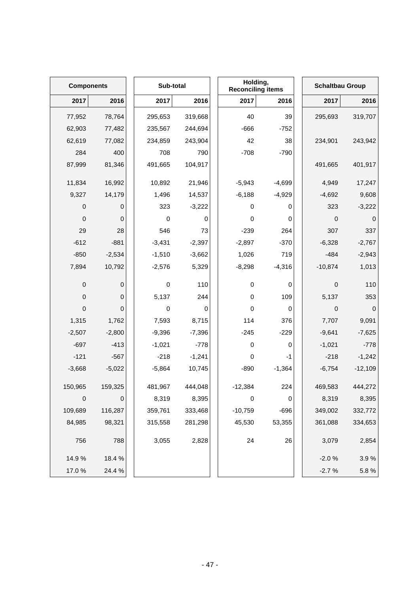|           | <b>Components</b> |  | Sub-total |          | Holding,<br><b>Reconciling items</b> |          | <b>Schaltbau Group</b> |             |
|-----------|-------------------|--|-----------|----------|--------------------------------------|----------|------------------------|-------------|
| 2017      | 2016              |  | 2017      | 2016     | 2017                                 | 2016     | 2017                   | 2016        |
| 77,952    | 78,764            |  | 295,653   | 319,668  | 40                                   | 39       | 295,693                | 319,707     |
| 62,903    | 77,482            |  | 235,567   | 244,694  | $-666$                               | $-752$   |                        |             |
| 62,619    | 77,082            |  | 234,859   | 243,904  | 42                                   | 38       | 234,901                | 243,942     |
| 284       | 400               |  | 708       | 790      | $-708$                               | $-790$   |                        |             |
| 87,999    | 81,346            |  | 491,665   | 104,917  |                                      |          | 491,665                | 401,917     |
| 11,834    | 16,992            |  | 10,892    | 21,946   | $-5,943$                             | $-4,699$ | 4,949                  | 17,247      |
| 9,327     | 14,179            |  | 1,496     | 14,537   | $-6,188$                             | $-4,929$ | $-4,692$               | 9,608       |
| $\pmb{0}$ | 0                 |  | 323       | $-3,222$ | 0                                    | 0        | 323                    | $-3,222$    |
| $\pmb{0}$ | 0                 |  | $\pmb{0}$ | 0        | $\pmb{0}$                            | 0        | $\mathbf 0$            | 0           |
| 29        | 28                |  | 546       | 73       | $-239$                               | 264      | 307                    | 337         |
| $-612$    | $-881$            |  | $-3,431$  | $-2,397$ | $-2,897$                             | $-370$   | $-6,328$               | $-2,767$    |
| $-850$    | $-2,534$          |  | $-1,510$  | $-3,662$ | 1,026                                | 719      | $-484$                 | $-2,943$    |
| 7,894     | 10,792            |  | $-2,576$  | 5,329    | $-8,298$                             | $-4,316$ | $-10,874$              | 1,013       |
| $\pmb{0}$ | 0                 |  | $\pmb{0}$ | 110      | 0                                    | 0        | 0                      | 110         |
| $\pmb{0}$ | 0                 |  | 5,137     | 244      | $\pmb{0}$                            | 109      | 5,137                  | 353         |
| $\pmb{0}$ | 0                 |  | 0         | 0        | $\pmb{0}$                            | 0        | $\mathbf 0$            | $\mathbf 0$ |
| 1,315     | 1,762             |  | 7,593     | 8,715    | 114                                  | 376      | 7,707                  | 9,091       |
| $-2,507$  | $-2,800$          |  | $-9,396$  | $-7,396$ | $-245$                               | $-229$   | $-9,641$               | $-7,625$    |
| $-697$    | $-413$            |  | $-1,021$  | $-778$   | $\pmb{0}$                            | 0        | $-1,021$               | $-778$      |
| $-121$    | $-567$            |  | $-218$    | $-1,241$ | 0                                    | -1       | $-218$                 | $-1,242$    |
| $-3,668$  | $-5,022$          |  | $-5,864$  | 10,745   | $-890$                               | $-1,364$ | $-6,754$               | $-12,109$   |
| 150,965   | 159,325           |  | 481,967   | 444,048  | $-12,384$                            | 224      | 469,583                | 444,272     |
| $\pmb{0}$ | 0                 |  | 8,319     | 8,395    | $\pmb{0}$                            | 0        | 8,319                  | 8,395       |
| 109,689   | 116,287           |  | 359,761   | 333,468  | $-10,759$                            | $-696$   | 349,002                | 332,772     |
| 84,985    | 98,321            |  | 315,558   | 281,298  | 45,530                               | 53,355   | 361,088                | 334,653     |
| 756       | 788               |  | 3,055     | 2,828    | 24                                   | 26       | 3,079                  | 2,854       |
| 14.9%     | 18.4 %            |  |           |          |                                      |          | $-2.0%$                | 3.9%        |
| 17.0%     | 24.4 %            |  |           |          |                                      |          | $-2.7%$                | 5.8%        |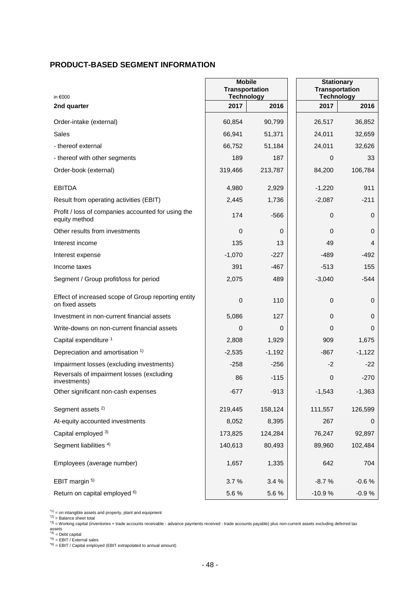### **PRODUCT-BASED SEGMENT INFORMATION**

| in €000                                                                | <b>Mobile</b><br><b>Transportation</b><br><b>Technology</b> |          | <b>Stationary</b><br><b>Transportation</b><br><b>Technology</b> |          |  |
|------------------------------------------------------------------------|-------------------------------------------------------------|----------|-----------------------------------------------------------------|----------|--|
| 2nd quarter                                                            | 2017                                                        | 2016     | 2017                                                            | 2016     |  |
| Order-intake (external)                                                | 60,854                                                      | 90,799   | 26,517                                                          | 36,852   |  |
| Sales                                                                  | 66,941                                                      | 51,371   | 24,011                                                          | 32,659   |  |
| - thereof external                                                     | 66,752                                                      | 51,184   | 24,011                                                          | 32,626   |  |
| - thereof with other segments                                          | 189                                                         | 187      | 0                                                               | 33       |  |
| Order-book (external)                                                  | 319,466                                                     | 213,787  | 84,200                                                          | 106,784  |  |
| <b>EBITDA</b>                                                          | 4,980                                                       | 2,929    | $-1,220$                                                        | 911      |  |
| Result from operating activities (EBIT)                                | 2,445                                                       | 1,736    | $-2,087$                                                        | $-211$   |  |
| Profit / loss of companies accounted for using the<br>equity method    | 174                                                         | $-566$   | 0                                                               | 0        |  |
| Other results from investments                                         | $\pmb{0}$                                                   | 0        | 0                                                               | 0        |  |
| Interest income                                                        | 135                                                         | 13       | 49                                                              | 4        |  |
| Interest expense                                                       | $-1,070$                                                    | $-227$   | $-489$                                                          | $-492$   |  |
| Income taxes                                                           | 391                                                         | -467     | $-513$                                                          | 155      |  |
| Segment / Group profit/loss for period                                 | 2,075                                                       | 489      | $-3,040$                                                        | $-544$   |  |
| Effect of increased scope of Group reporting entity<br>on fixed assets | 0                                                           | 110      | 0                                                               | 0        |  |
| Investment in non-current financial assets                             | 5,086                                                       | 127      | 0                                                               | 0        |  |
| Write-downs on non-current financial assets                            | 0                                                           | $\Omega$ | 0                                                               | 0        |  |
| Capital expenditure 1                                                  | 2,808                                                       | 1,929    | 909                                                             | 1,675    |  |
| Depreciation and amortisation 1)                                       | $-2,535$                                                    | $-1,192$ | $-867$                                                          | $-1,122$ |  |
| Impairment losses (excluding investments)                              | $-258$                                                      | $-256$   | $-2$                                                            | $-22$    |  |
| Reversals of impairment losses (excluding<br>investments)              | 86                                                          | $-115$   | 0                                                               | $-270$   |  |
| Other significant non-cash expenses                                    | -677                                                        | $-913$   | $-1,543$                                                        | $-1,363$ |  |
| Segment assets <sup>2)</sup>                                           | 219,445                                                     | 158,124  | 111,557                                                         | 126,599  |  |
| At-equity accounted investments                                        | 8,052                                                       | 8,395    | 267                                                             | 0        |  |
| Capital employed 3)                                                    | 173,825                                                     | 124,284  | 76,247                                                          | 92,897   |  |
| Segment liabilities <sup>4)</sup>                                      | 140,613                                                     | 80,493   | 89,960                                                          | 102,484  |  |
| Employees (average number)                                             | 1,657                                                       | 1,335    | 642                                                             | 704      |  |
| EBIT margin 5)                                                         | 3.7%                                                        | 3.4%     | $-8.7%$                                                         | $-0.6%$  |  |
| Return on capital employed <sup>6)</sup>                               | 5.6%                                                        | 5.6%     | $-10.9%$                                                        | $-0.9%$  |  |

 $(1)$  = on intangible assets and property, plant and equipment

\*2) = Balance sheet total

\*3) = Working capital (inventories + trade accounts receivable - advance payments received - trade accounts payable) plus non-current assets excluding deferred tax<br>assets

\*4) = Debt capital

\*5) = EBIT / External sales

 $*6$ ) = EBIT / Capital employed (EBIT extrapolated to annual amount)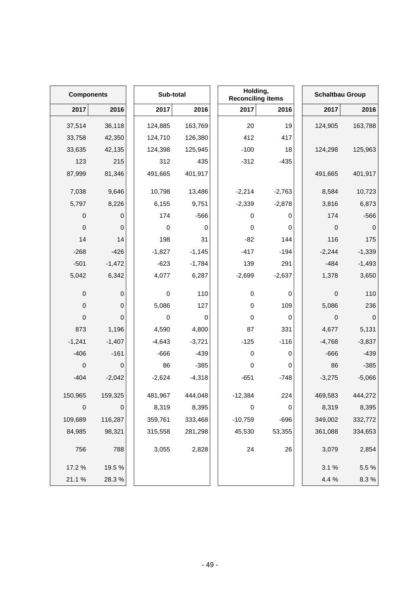| <b>Components</b> |             | Sub-total   |          | Holding,<br><b>Reconciling items</b> |             | <b>Schaltbau Group</b> |           |
|-------------------|-------------|-------------|----------|--------------------------------------|-------------|------------------------|-----------|
| 2017              | 2016        | 2017        | 2016     | 2017                                 | 2016        | 2017                   | 2016      |
| 37,514            | 36,118      | 124,885     | 163,769  | 20                                   | 19          | 124,905                | 163,788   |
| 33,758            | 42,350      | 124,710     | 126,380  | 412                                  | 417         |                        |           |
| 33,635            | 42,135      | 124,398     | 125,945  | $-100$                               | 18          | 124,298                | 125,963   |
| 123               | 215         | 312         | 435      | $-312$                               | $-435$      |                        |           |
| 87,999            | 81,346      | 491,665     | 401,917  |                                      |             | 491,665                | 401,917   |
| 7,038             | 9,646       | 10,798      | 13,486   | $-2,214$                             | $-2,763$    | 8,584                  | 10,723    |
| 5,797             | 8,226       | 6,155       | 9,751    | $-2,339$                             | $-2,878$    | 3,816                  | 6,873     |
| 0                 | 0           | 174         | $-566$   | 0                                    | 0           | 174                    | $-566$    |
| $\boldsymbol{0}$  | $\pmb{0}$   | $\mathbf 0$ | 0        | $\pmb{0}$                            | 0           | $\boldsymbol{0}$       | 0         |
| 14                | 14          | 198         | 31       | $-82$                                | 144         | 116                    | 175       |
| $-268$            | $-426$      | $-1,827$    | $-1,145$ | $-417$                               | $-194$      | $-2,244$               | $-1,339$  |
| $-501$            | $-1,472$    | $-623$      | $-1,784$ | 139                                  | 291         | $-484$                 | $-1,493$  |
| 5,042             | 6,342       | 4,077       | 6,287    | $-2,699$                             | $-2,637$    | 1,378                  | 3,650     |
| $\mbox{O}$        | 0           | $\mathbf 0$ | 110      | $\pmb{0}$                            | 0           | $\pmb{0}$              | 110       |
| $\boldsymbol{0}$  | 0           | 5,086       | 127      | $\pmb{0}$                            | 109         | 5,086                  | 236       |
| $\mathbf 0$       | 0           | $\mathbf 0$ | 0        | 0                                    | $\mathbf 0$ | 0                      | 0         |
| 873               | 1,196       | 4,590       | 4,800    | 87                                   | 331         | 4,677                  | 5,131     |
| $-1,241$          | $-1,407$    | $-4,643$    | $-3,721$ | $-125$                               | $-116$      | $-4,768$               | $-3,837$  |
| $-406$            | $-161$      | $-666$      | $-439$   | $\pmb{0}$                            | 0           | $-666$                 | $-439$    |
| $\boldsymbol{0}$  | 0           | 86          | $-385$   | $\pmb{0}$                            | 0           | 86                     | $-385$    |
| $-404$            | $-2,042$    | $-2,624$    | $-4,318$ | $-651$                               | $-748$      | $-3,275$               | $-5,066$  |
| 150,965           | 159,325     | 481,967     | 444,048  | $-12,384$                            | 224         | 469,583                | 444,272   |
| $\mathbf 0$       | $\mathbf 0$ | 8,319       | 8,395    | $\pmb{0}$                            | $\pmb{0}$   | 8,319                  | 8,395     |
| 109,689           | 116,287     | 359,761     | 333,468  | $-10,759$                            | $-696$      | 349,002                | 332,772   |
| 84,985            | 98,321      | 315,558     | 281,298  | 45,530                               | 53,355      | 361,088                | 334,653   |
| 756               | 788         | 3,055       | 2,828    | 24                                   | 26          | 3,079                  | 2,854     |
| 17.2 %            | 19.5 %      |             |          |                                      |             | 3.1%                   | 5.5 %     |
| 21.1 %            | 28.3%       |             |          |                                      |             | 4.4 %                  | $8.3\ \%$ |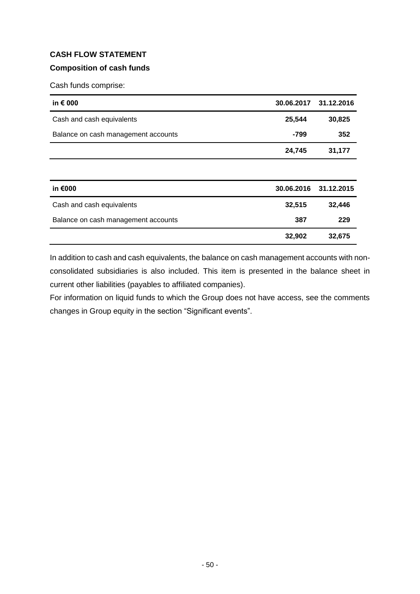## **CASH FLOW STATEMENT**

## **Composition of cash funds**

Cash funds comprise:

| in € 000                            |            | 30.06.2017 31.12.2016 |
|-------------------------------------|------------|-----------------------|
| Cash and cash equivalents           | 25,544     | 30,825                |
| Balance on cash management accounts | $-799$     | 352                   |
|                                     | 24,745     | 31,177                |
|                                     |            |                       |
| in €000                             | 30.06.2016 | 31.12.2015            |
| Cash and cash equivalents           | 32,515     | 32,446                |
| Balance on cash management accounts | 387        | 229                   |
|                                     | 32,902     | 32,675                |

In addition to cash and cash equivalents, the balance on cash management accounts with nonconsolidated subsidiaries is also included. This item is presented in the balance sheet in current other liabilities (payables to affiliated companies).

For information on liquid funds to which the Group does not have access, see the comments changes in Group equity in the section "Significant events".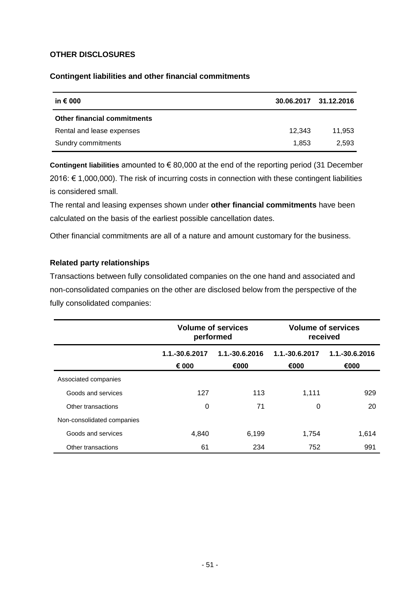### **OTHER DISCLOSURES**

#### **Contingent liabilities and other financial commitments**

| in $\epsilon$ 000                  |        | 30.06.2017 31.12.2016 |
|------------------------------------|--------|-----------------------|
| <b>Other financial commitments</b> |        |                       |
| Rental and lease expenses          | 12.343 | 11.953                |
| Sundry commitments                 | 1.853  | 2.593                 |

**Contingent liabilities** amounted to € 80,000 at the end of the reporting period (31 December 2016: € 1,000,000). The risk of incurring costs in connection with these contingent liabilities is considered small.

The rental and leasing expenses shown under **other financial commitments** have been calculated on the basis of the earliest possible cancellation dates.

Other financial commitments are all of a nature and amount customary for the business.

#### **Related party relationships**

Transactions between fully consolidated companies on the one hand and associated and non-consolidated companies on the other are disclosed below from the perspective of the fully consolidated companies:

|                            | <b>Volume of services</b><br>performed |                        | <b>Volume of services</b><br>received |                        |
|----------------------------|----------------------------------------|------------------------|---------------------------------------|------------------------|
|                            | 1.1.-30.6.2017<br>€ 000                | 1.1.-30.6.2016<br>€000 | 1.1.-30.6.2017<br>€000                | 1.1.-30.6.2016<br>€000 |
| Associated companies       |                                        |                        |                                       |                        |
| Goods and services         | 127                                    | 113                    | 1.111                                 | 929                    |
| Other transactions         | 0                                      | 71                     | 0                                     | 20                     |
| Non-consolidated companies |                                        |                        |                                       |                        |
| Goods and services         | 4,840                                  | 6,199                  | 1.754                                 | 1,614                  |
| Other transactions         | 61                                     | 234                    | 752                                   | 991                    |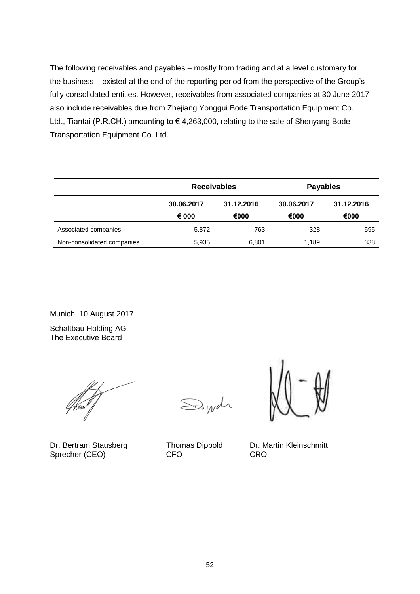The following receivables and payables – mostly from trading and at a level customary for the business – existed at the end of the reporting period from the perspective of the Group's fully consolidated entities. However, receivables from associated companies at 30 June 2017 also include receivables due from Zhejiang Yonggui Bode Transportation Equipment Co. Ltd., Tiantai (P.R.CH.) amounting to € 4,263,000, relating to the sale of Shenyang Bode Transportation Equipment Co. Ltd.

|                            | <b>Receivables</b> |            | <b>Payables</b> |            |
|----------------------------|--------------------|------------|-----------------|------------|
|                            | 30.06.2017         | 31.12.2016 | 30.06.2017      | 31.12.2016 |
|                            | € 000              | €000       | €000            | €000       |
| Associated companies       | 5,872              | 763        | 328             | 595        |
| Non-consolidated companies | 5,935              | 6,801      | 1,189           | 338        |

Munich, 10 August 2017

Schaltbau Holding AG The Executive Board

 $\mathbb{S}_{W}$ dr

Dr. Bertram Stausberg Thomas Dippold Dr. Martin Kleinschmitt<br>Sprecher (CEO) CFO CRO Sprecher (CEO)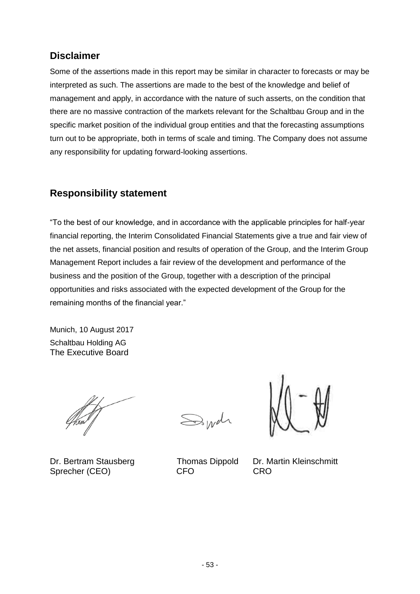# **Disclaimer**

Some of the assertions made in this report may be similar in character to forecasts or may be interpreted as such. The assertions are made to the best of the knowledge and belief of management and apply, in accordance with the nature of such asserts, on the condition that there are no massive contraction of the markets relevant for the Schaltbau Group and in the specific market position of the individual group entities and that the forecasting assumptions turn out to be appropriate, both in terms of scale and timing. The Company does not assume any responsibility for updating forward-looking assertions.

# **Responsibility statement**

"To the best of our knowledge, and in accordance with the applicable principles for half-year financial reporting, the Interim Consolidated Financial Statements give a true and fair view of the net assets, financial position and results of operation of the Group, and the Interim Group Management Report includes a fair review of the development and performance of the business and the position of the Group, together with a description of the principal opportunities and risks associated with the expected development of the Group for the remaining months of the financial year."

Munich, 10 August 2017 Schaltbau Holding AG The Executive Board

Dr. Bertram Stausberg Thomas Dippold Dr. Martin Kleinschmitt Sprecher (CEO) CFO CRO

 $\mathbb{R}_{W}$ dr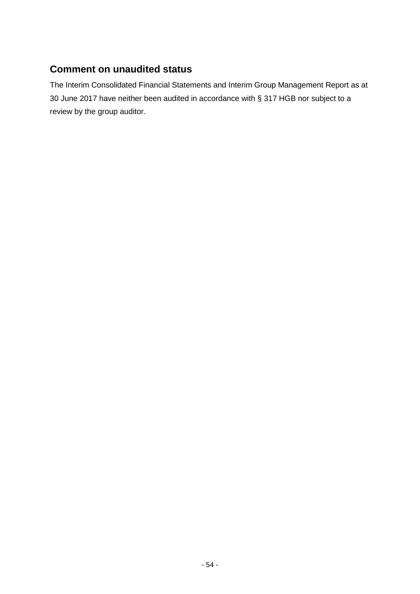# **Comment on unaudited status**

The Interim Consolidated Financial Statements and Interim Group Management Report as at 30 June 2017 have neither been audited in accordance with § 317 HGB nor subject to a review by the group auditor.